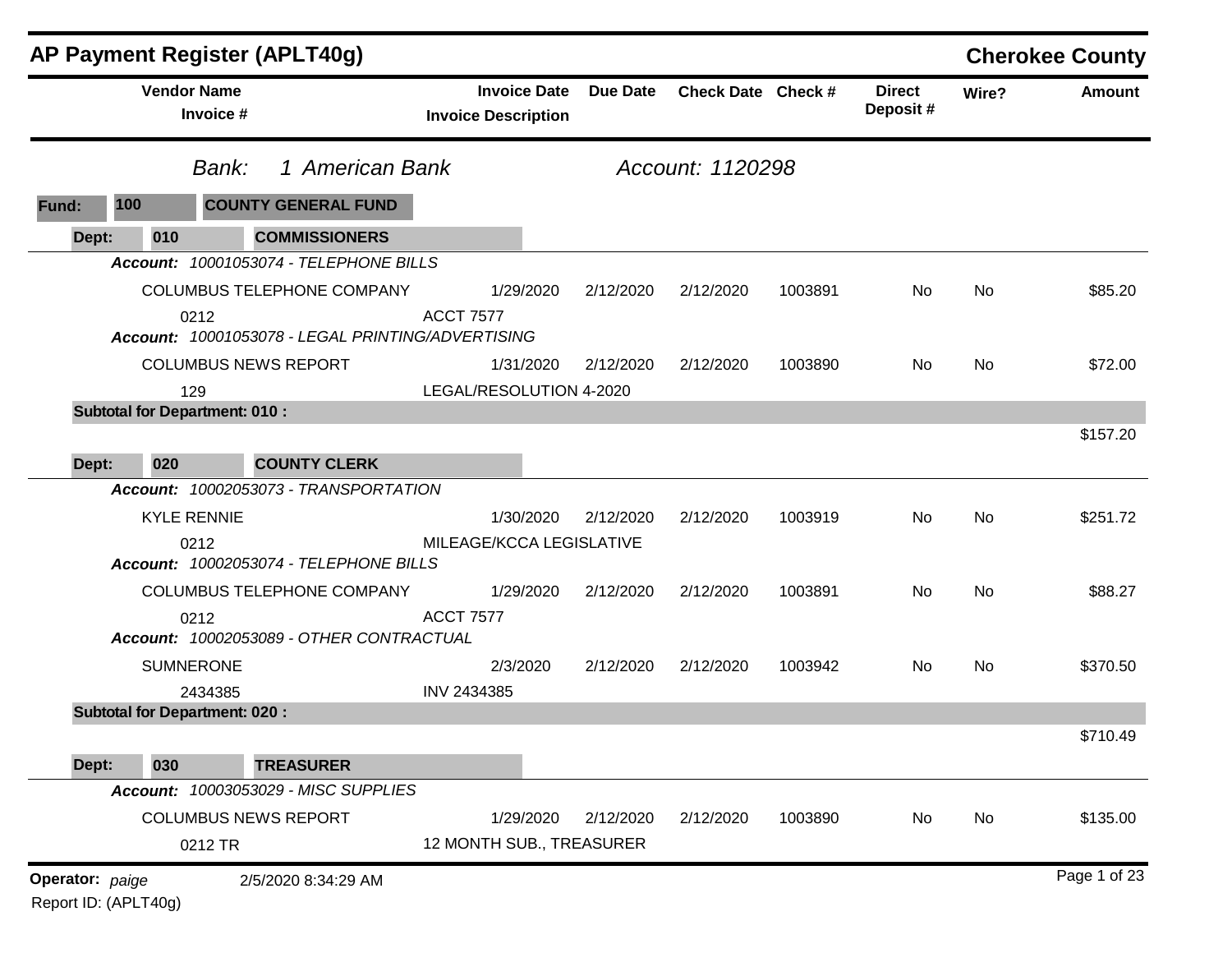|                 |                    | <b>AP Payment Register (APLT40g)</b>              |                            |                     |                 |                    |         |                           |       | <b>Cherokee County</b> |
|-----------------|--------------------|---------------------------------------------------|----------------------------|---------------------|-----------------|--------------------|---------|---------------------------|-------|------------------------|
|                 | <b>Vendor Name</b> | Invoice #                                         | <b>Invoice Description</b> | <b>Invoice Date</b> | <b>Due Date</b> | Check Date Check # |         | <b>Direct</b><br>Deposit# | Wire? | <b>Amount</b>          |
|                 |                    | 1 American Bank<br>Bank:                          |                            |                     |                 | Account: 1120298   |         |                           |       |                        |
| Fund:           | 100                | <b>COUNTY GENERAL FUND</b>                        |                            |                     |                 |                    |         |                           |       |                        |
| Dept:           | 010                | <b>COMMISSIONERS</b>                              |                            |                     |                 |                    |         |                           |       |                        |
|                 |                    | Account: 10001053074 - TELEPHONE BILLS            |                            |                     |                 |                    |         |                           |       |                        |
|                 |                    | COLUMBUS TELEPHONE COMPANY                        |                            | 1/29/2020           | 2/12/2020       | 2/12/2020          | 1003891 | No.                       | No    | \$85.20                |
|                 | 0212               | Account: 10001053078 - LEGAL PRINTING/ADVERTISING | <b>ACCT 7577</b>           |                     |                 |                    |         |                           |       |                        |
|                 |                    | <b>COLUMBUS NEWS REPORT</b>                       |                            | 1/31/2020           | 2/12/2020       | 2/12/2020          | 1003890 | No                        | No    | \$72.00                |
|                 | 129                |                                                   | LEGAL/RESOLUTION 4-2020    |                     |                 |                    |         |                           |       |                        |
|                 |                    | <b>Subtotal for Department: 010:</b>              |                            |                     |                 |                    |         |                           |       |                        |
|                 |                    |                                                   |                            |                     |                 |                    |         |                           |       | \$157.20               |
| Dept:           | 020                | <b>COUNTY CLERK</b>                               |                            |                     |                 |                    |         |                           |       |                        |
|                 |                    | Account: 10002053073 - TRANSPORTATION             |                            |                     |                 |                    |         |                           |       |                        |
|                 | <b>KYLE RENNIE</b> |                                                   |                            | 1/30/2020           | 2/12/2020       | 2/12/2020          | 1003919 | No                        | No    | \$251.72               |
|                 | 0212               | Account: 10002053074 - TELEPHONE BILLS            | MILEAGE/KCCA LEGISLATIVE   |                     |                 |                    |         |                           |       |                        |
|                 |                    | COLUMBUS TELEPHONE COMPANY                        |                            | 1/29/2020           | 2/12/2020       | 2/12/2020          | 1003891 | No                        | No    | \$88.27                |
|                 | 0212               | Account: 10002053089 - OTHER CONTRACTUAL          | <b>ACCT 7577</b>           |                     |                 |                    |         |                           |       |                        |
|                 | <b>SUMNERONE</b>   |                                                   |                            | 2/3/2020            | 2/12/2020       | 2/12/2020          | 1003942 | No.                       | No    | \$370.50               |
|                 |                    | 2434385                                           | INV 2434385                |                     |                 |                    |         |                           |       |                        |
|                 |                    | <b>Subtotal for Department: 020:</b>              |                            |                     |                 |                    |         |                           |       |                        |
|                 |                    |                                                   |                            |                     |                 |                    |         |                           |       | \$710.49               |
| Dept:           | 030                | <b>TREASURER</b>                                  |                            |                     |                 |                    |         |                           |       |                        |
|                 |                    | Account: 10003053029 - MISC SUPPLIES              |                            |                     |                 |                    |         |                           |       |                        |
|                 |                    | <b>COLUMBUS NEWS REPORT</b>                       |                            | 1/29/2020           | 2/12/2020       | 2/12/2020          | 1003890 | No                        | No    | \$135.00               |
|                 |                    | 0212 TR                                           | 12 MONTH SUB., TREASURER   |                     |                 |                    |         |                           |       |                        |
| Operator: paige |                    | 2/5/2020 8:34:29 AM                               |                            |                     |                 |                    |         |                           |       | Page 1 of 23           |

Report ID: (APLT40g)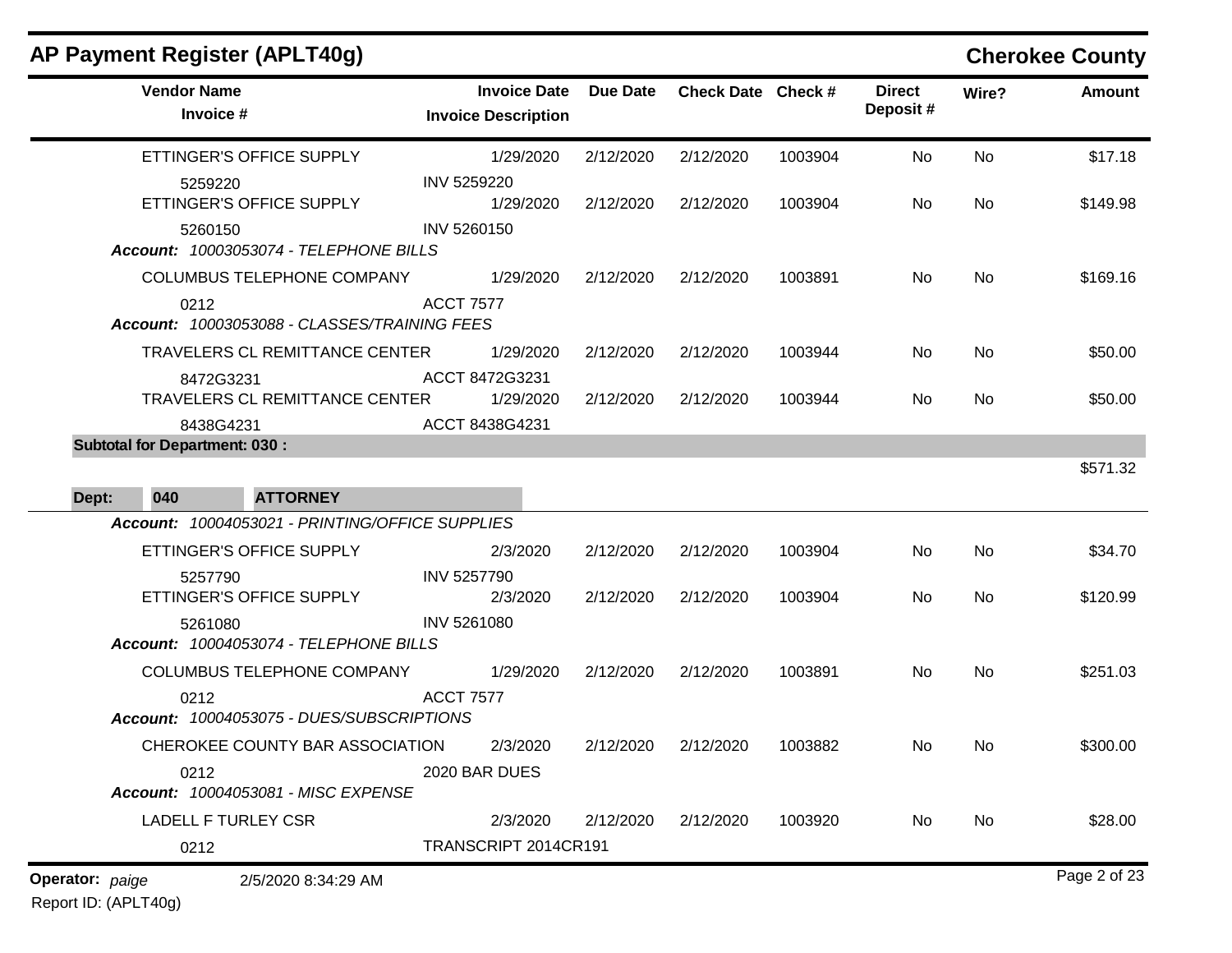| AP Payment Register (APLT40g)                                                      |                                                   |                 |                    |         |                           |           | <b>Cherokee County</b> |
|------------------------------------------------------------------------------------|---------------------------------------------------|-----------------|--------------------|---------|---------------------------|-----------|------------------------|
| <b>Vendor Name</b><br>Invoice #                                                    | <b>Invoice Date</b><br><b>Invoice Description</b> | <b>Due Date</b> | Check Date Check # |         | <b>Direct</b><br>Deposit# | Wire?     | <b>Amount</b>          |
| ETTINGER'S OFFICE SUPPLY                                                           | 1/29/2020                                         | 2/12/2020       | 2/12/2020          | 1003904 | No                        | No        | \$17.18                |
| 5259220<br>ETTINGER'S OFFICE SUPPLY                                                | INV 5259220<br>1/29/2020                          | 2/12/2020       | 2/12/2020          | 1003904 | No                        | <b>No</b> | \$149.98               |
| 5260150<br>Account: 10003053074 - TELEPHONE BILLS                                  | INV 5260150                                       |                 |                    |         |                           |           |                        |
| COLUMBUS TELEPHONE COMPANY                                                         | 1/29/2020                                         | 2/12/2020       | 2/12/2020          | 1003891 | No                        | No        | \$169.16               |
| 0212<br>Account: 10003053088 - CLASSES/TRAINING FEES                               | <b>ACCT 7577</b>                                  |                 |                    |         |                           |           |                        |
| TRAVELERS CL REMITTANCE CENTER                                                     | 1/29/2020                                         | 2/12/2020       | 2/12/2020          | 1003944 | No                        | No        | \$50.00                |
| 8472G3231<br>TRAVELERS CL REMITTANCE CENTER                                        | ACCT 8472G3231<br>1/29/2020                       | 2/12/2020       | 2/12/2020          | 1003944 | No                        | No        | \$50.00                |
| 8438G4231<br><b>Subtotal for Department: 030:</b>                                  | ACCT 8438G4231                                    |                 |                    |         |                           |           |                        |
| 040<br><b>ATTORNEY</b><br>Dept:<br>Account: 10004053021 - PRINTING/OFFICE SUPPLIES |                                                   |                 |                    |         |                           |           | \$571.32               |
| ETTINGER'S OFFICE SUPPLY                                                           | 2/3/2020                                          | 2/12/2020       | 2/12/2020          | 1003904 | No                        | No        | \$34.70                |
| 5257790<br>ETTINGER'S OFFICE SUPPLY                                                | INV 5257790<br>2/3/2020                           | 2/12/2020       | 2/12/2020          | 1003904 | No                        | No        | \$120.99               |
| 5261080<br>Account: 10004053074 - TELEPHONE BILLS                                  | INV 5261080                                       |                 |                    |         |                           |           |                        |
| COLUMBUS TELEPHONE COMPANY                                                         | 1/29/2020                                         | 2/12/2020       | 2/12/2020          | 1003891 | No                        | No        | \$251.03               |
| 0212<br>Account: 10004053075 - DUES/SUBSCRIPTIONS                                  | <b>ACCT 7577</b>                                  |                 |                    |         |                           |           |                        |
| CHEROKEE COUNTY BAR ASSOCIATION                                                    | 2/3/2020                                          | 2/12/2020       | 2/12/2020          | 1003882 | No.                       | No.       | \$300.00               |
| 0212<br>Account: 10004053081 - MISC EXPENSE                                        | 2020 BAR DUES                                     |                 |                    |         |                           |           |                        |
| <b>LADELL F TURLEY CSR</b>                                                         | 2/3/2020                                          | 2/12/2020       | 2/12/2020          | 1003920 | No                        | No        | \$28.00                |
| 0212                                                                               | TRANSCRIPT 2014CR191                              |                 |                    |         |                           |           |                        |
| <b>Operator:</b> paige<br>2/5/2020 8:34:29 AM                                      |                                                   |                 |                    |         |                           |           | Page 2 of 23           |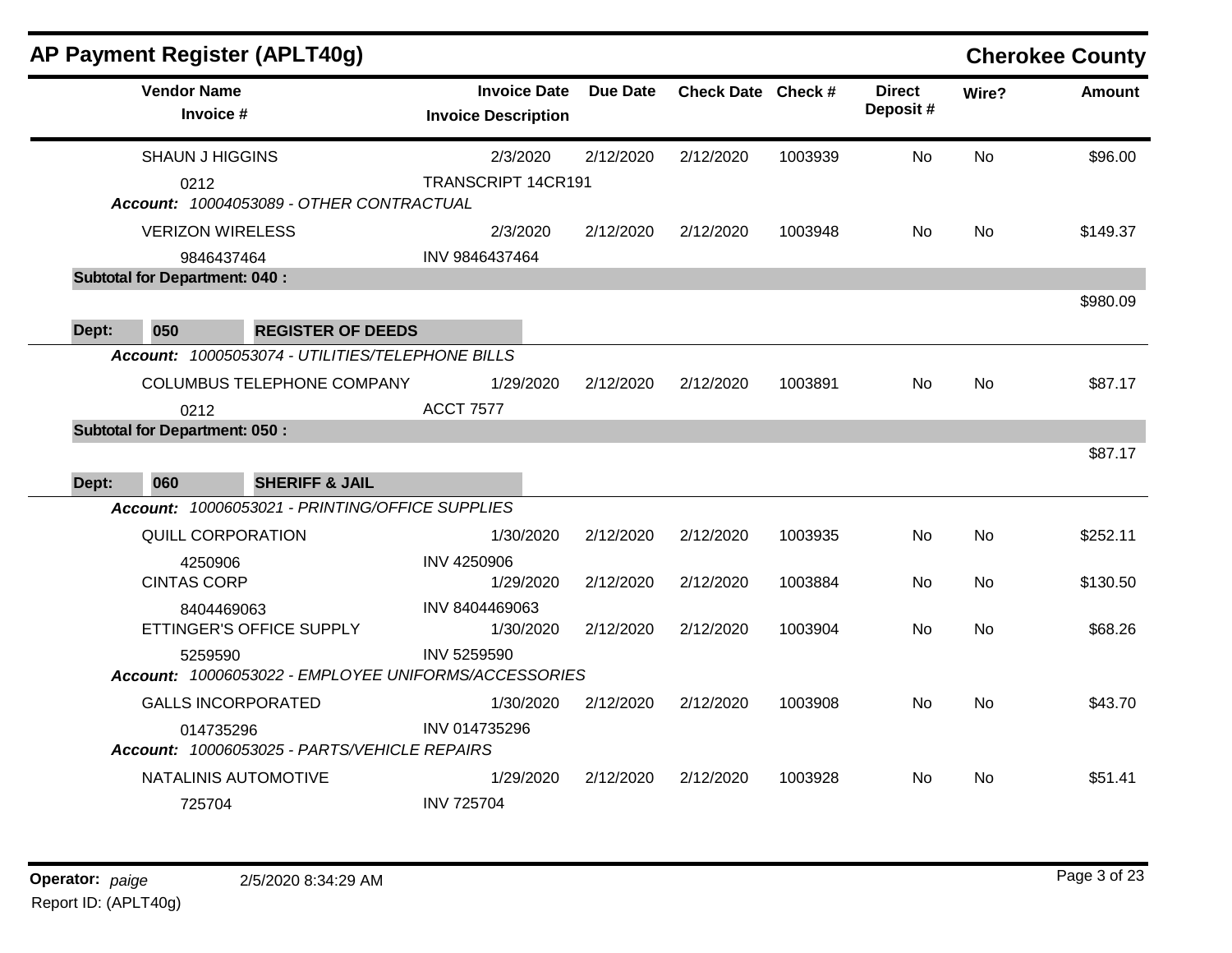|       |                                              | AP Payment Register (APLT40g)                        |                                                   |                 |                    |         |                            |           | <b>Cherokee County</b> |
|-------|----------------------------------------------|------------------------------------------------------|---------------------------------------------------|-----------------|--------------------|---------|----------------------------|-----------|------------------------|
|       | <b>Vendor Name</b><br>Invoice #              |                                                      | <b>Invoice Date</b><br><b>Invoice Description</b> | <b>Due Date</b> | Check Date Check # |         | <b>Direct</b><br>Deposit # | Wire?     | <b>Amount</b>          |
|       | <b>SHAUN J HIGGINS</b>                       |                                                      | 2/3/2020                                          | 2/12/2020       | 2/12/2020          | 1003939 | <b>No</b>                  | <b>No</b> |                        |
|       | 0212                                         | Account: 10004053089 - OTHER CONTRACTUAL             | TRANSCRIPT 14CR191                                |                 |                    |         |                            |           |                        |
|       | <b>VERIZON WIRELESS</b>                      |                                                      | 2/3/2020                                          | 2/12/2020       | 2/12/2020          | 1003948 | No.                        | No        | \$149.37               |
|       | 9846437464                                   |                                                      | INV 9846437464                                    |                 |                    |         |                            |           |                        |
|       | <b>Subtotal for Department: 040:</b>         |                                                      |                                                   |                 |                    |         |                            |           |                        |
|       |                                              |                                                      |                                                   |                 |                    |         |                            |           | \$980.09               |
| Dept: | 050                                          | <b>REGISTER OF DEEDS</b>                             |                                                   |                 |                    |         |                            |           |                        |
|       |                                              | Account: 10005053074 - UTILITIES/TELEPHONE BILLS     |                                                   |                 |                    |         |                            |           |                        |
|       |                                              | <b>COLUMBUS TELEPHONE COMPANY</b>                    | 1/29/2020                                         | 2/12/2020       | 2/12/2020          | 1003891 | <b>No</b>                  | <b>No</b> | \$87.17                |
|       | 0212<br><b>Subtotal for Department: 050:</b> |                                                      | <b>ACCT 7577</b>                                  |                 |                    |         |                            |           |                        |
|       |                                              |                                                      |                                                   |                 |                    |         |                            |           | \$87.17                |
| Dept: | 060                                          | <b>SHERIFF &amp; JAIL</b>                            |                                                   |                 |                    |         |                            |           |                        |
|       |                                              | Account: 10006053021 - PRINTING/OFFICE SUPPLIES      |                                                   |                 |                    |         |                            |           |                        |
|       | QUILL CORPORATION                            |                                                      | 1/30/2020                                         | 2/12/2020       | 2/12/2020          | 1003935 | No.                        | No        | \$252.11               |
|       | 4250906                                      |                                                      | INV 4250906                                       |                 |                    |         |                            |           |                        |
|       | <b>CINTAS CORP</b>                           |                                                      | 1/29/2020                                         | 2/12/2020       | 2/12/2020          | 1003884 | <b>No</b>                  | No        | \$130.50               |
|       | 8404469063                                   |                                                      | INV 8404469063                                    |                 |                    |         |                            |           |                        |
|       |                                              | ETTINGER'S OFFICE SUPPLY                             | 1/30/2020                                         | 2/12/2020       | 2/12/2020          | 1003904 | <b>No</b>                  | <b>No</b> | \$68.26                |
|       | 5259590                                      |                                                      | <b>INV 5259590</b>                                |                 |                    |         |                            |           |                        |
|       |                                              | Account: 10006053022 - EMPLOYEE UNIFORMS/ACCESSORIES |                                                   |                 |                    |         |                            |           |                        |
|       | <b>GALLS INCORPORATED</b>                    |                                                      | 1/30/2020                                         | 2/12/2020       | 2/12/2020          | 1003908 | <b>No</b>                  | <b>No</b> | \$43.70                |
|       | 014735296                                    | Account: 10006053025 - PARTS/VEHICLE REPAIRS         | INV 014735296                                     |                 |                    |         |                            |           |                        |
|       |                                              | NATALINIS AUTOMOTIVE                                 | 1/29/2020                                         | 2/12/2020       | 2/12/2020          | 1003928 | No.                        | No        | \$51.41                |
|       | 725704                                       |                                                      | <b>INV 725704</b>                                 |                 |                    |         |                            |           |                        |
|       |                                              |                                                      |                                                   |                 |                    |         |                            |           |                        |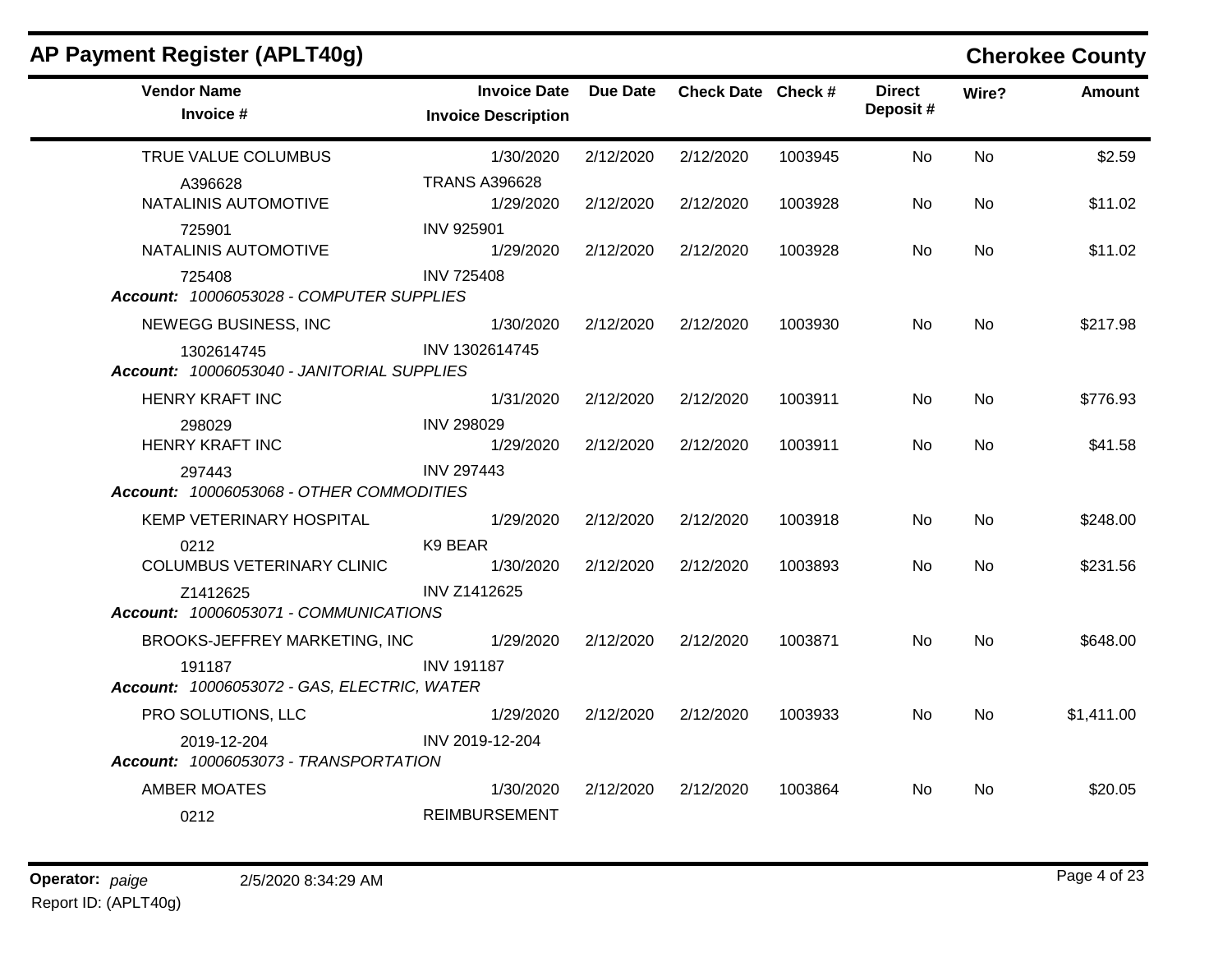| AP Payment Register (APLT40g)                                                    |                                                   |           |                    |         |                           |           | <b>Cherokee County</b> |
|----------------------------------------------------------------------------------|---------------------------------------------------|-----------|--------------------|---------|---------------------------|-----------|------------------------|
| <b>Vendor Name</b><br>Invoice #                                                  | <b>Invoice Date</b><br><b>Invoice Description</b> | Due Date  | Check Date Check # |         | <b>Direct</b><br>Deposit# | Wire?     | <b>Amount</b>          |
| TRUE VALUE COLUMBUS                                                              | 1/30/2020                                         | 2/12/2020 | 2/12/2020          | 1003945 | No.                       | No        | \$2.59                 |
| A396628<br>NATALINIS AUTOMOTIVE                                                  | <b>TRANS A396628</b><br>1/29/2020                 | 2/12/2020 | 2/12/2020          | 1003928 | No.                       | No.       | \$11.02                |
| 725901<br>NATALINIS AUTOMOTIVE                                                   | <b>INV 925901</b><br>1/29/2020                    | 2/12/2020 | 2/12/2020          | 1003928 | No.                       | No.       | \$11.02                |
| 725408<br>Account: 10006053028 - COMPUTER SUPPLIES                               | <b>INV 725408</b>                                 |           |                    |         |                           |           |                        |
| NEWEGG BUSINESS, INC<br>1302614745<br>Account: 10006053040 - JANITORIAL SUPPLIES | 1/30/2020<br>INV 1302614745                       | 2/12/2020 | 2/12/2020          | 1003930 | No.                       | <b>No</b> | \$217.98               |
| HENRY KRAFT INC                                                                  | 1/31/2020                                         | 2/12/2020 | 2/12/2020          | 1003911 | No.                       | No        | \$776.93               |
| 298029<br><b>HENRY KRAFT INC</b>                                                 | <b>INV 298029</b><br>1/29/2020                    | 2/12/2020 | 2/12/2020          | 1003911 | No                        | No        | \$41.58                |
| 297443<br>Account: 10006053068 - OTHER COMMODITIES                               | <b>INV 297443</b>                                 |           |                    |         |                           |           |                        |
| KEMP VETERINARY HOSPITAL                                                         | 1/29/2020                                         | 2/12/2020 | 2/12/2020          | 1003918 | No.                       | No.       | \$248.00               |
| 0212<br><b>COLUMBUS VETERINARY CLINIC</b>                                        | K9 BEAR<br>1/30/2020                              | 2/12/2020 | 2/12/2020          | 1003893 | No.                       | No.       | \$231.56               |
| Z1412625<br>Account: 10006053071 - COMMUNICATIONS                                | <b>INV Z1412625</b>                               |           |                    |         |                           |           |                        |
| BROOKS-JEFFREY MARKETING, INC                                                    | 1/29/2020                                         | 2/12/2020 | 2/12/2020          | 1003871 | No.                       | <b>No</b> | \$648.00               |
| 191187<br>Account: 10006053072 - GAS, ELECTRIC, WATER                            | <b>INV 191187</b>                                 |           |                    |         |                           |           |                        |
| PRO SOLUTIONS, LLC                                                               | 1/29/2020                                         | 2/12/2020 | 2/12/2020          | 1003933 | No.                       | <b>No</b> | \$1,411.00             |
| 2019-12-204<br>Account: 10006053073 - TRANSPORTATION                             | INV 2019-12-204                                   |           |                    |         |                           |           |                        |
| <b>AMBER MOATES</b>                                                              | 1/30/2020                                         | 2/12/2020 | 2/12/2020          | 1003864 | No.                       | No.       | \$20.05                |
| 0212                                                                             | <b>REIMBURSEMENT</b>                              |           |                    |         |                           |           |                        |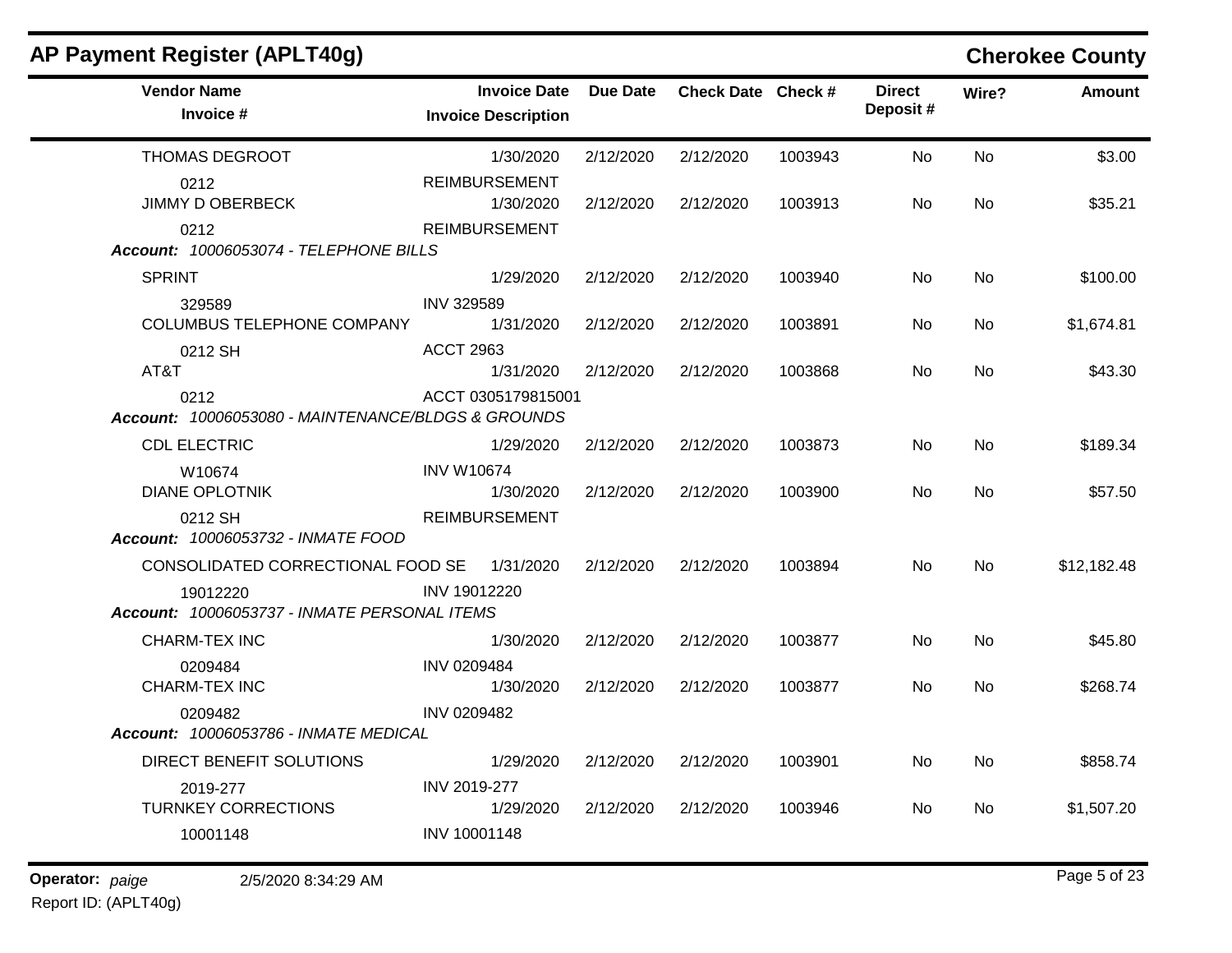| AP Payment Register (APLT40g)                              |                                                   |                 |                    |         |                           |           | <b>Cherokee County</b> |
|------------------------------------------------------------|---------------------------------------------------|-----------------|--------------------|---------|---------------------------|-----------|------------------------|
| <b>Vendor Name</b><br>Invoice #                            | <b>Invoice Date</b><br><b>Invoice Description</b> | <b>Due Date</b> | Check Date Check # |         | <b>Direct</b><br>Deposit# | Wire?     | <b>Amount</b>          |
| THOMAS DEGROOT                                             | 1/30/2020                                         | 2/12/2020       | 2/12/2020          | 1003943 | No                        | No        | \$3.00                 |
| 0212<br><b>JIMMY D OBERBECK</b>                            | <b>REIMBURSEMENT</b><br>1/30/2020                 | 2/12/2020       | 2/12/2020          | 1003913 | No                        | No        | \$35.21                |
| 0212<br>Account: 10006053074 - TELEPHONE BILLS             | <b>REIMBURSEMENT</b>                              |                 |                    |         |                           |           |                        |
| <b>SPRINT</b>                                              | 1/29/2020                                         | 2/12/2020       | 2/12/2020          | 1003940 | No                        | <b>No</b> | \$100.00               |
| 329589<br><b>COLUMBUS TELEPHONE COMPANY</b>                | <b>INV 329589</b><br>1/31/2020                    | 2/12/2020       | 2/12/2020          | 1003891 | No                        | No        | \$1,674.81             |
| 0212 SH<br>AT&T                                            | <b>ACCT 2963</b><br>1/31/2020                     | 2/12/2020       | 2/12/2020          | 1003868 | No                        | <b>No</b> | \$43.30                |
| 0212<br>Account: 10006053080 - MAINTENANCE/BLDGS & GROUNDS | ACCT 0305179815001                                |                 |                    |         |                           |           |                        |
| <b>CDL ELECTRIC</b>                                        | 1/29/2020                                         | 2/12/2020       | 2/12/2020          | 1003873 | No                        | <b>No</b> | \$189.34               |
| W10674<br><b>DIANE OPLOTNIK</b>                            | <b>INV W10674</b><br>1/30/2020                    | 2/12/2020       | 2/12/2020          | 1003900 | No                        | No        | \$57.50                |
| 0212 SH<br>Account: 10006053732 - INMATE FOOD              | <b>REIMBURSEMENT</b>                              |                 |                    |         |                           |           |                        |
| CONSOLIDATED CORRECTIONAL FOOD SE                          | 1/31/2020                                         | 2/12/2020       | 2/12/2020          | 1003894 | No                        | No        | \$12,182.48            |
| 19012220<br>Account: 10006053737 - INMATE PERSONAL ITEMS   | INV 19012220                                      |                 |                    |         |                           |           |                        |
| CHARM-TEX INC                                              | 1/30/2020                                         | 2/12/2020       | 2/12/2020          | 1003877 | No                        | No        | \$45.80                |
| 0209484<br>CHARM-TEX INC                                   | INV 0209484<br>1/30/2020                          | 2/12/2020       | 2/12/2020          | 1003877 | No                        | No        | \$268.74               |
| 0209482<br>Account: 10006053786 - INMATE MEDICAL           | INV 0209482                                       |                 |                    |         |                           |           |                        |
| DIRECT BENEFIT SOLUTIONS                                   | 1/29/2020                                         | 2/12/2020       | 2/12/2020          | 1003901 | No                        | No        | \$858.74               |
| 2019-277<br><b>TURNKEY CORRECTIONS</b>                     | INV 2019-277<br>1/29/2020                         | 2/12/2020       | 2/12/2020          | 1003946 | No                        | No        | \$1,507.20             |
| 10001148                                                   | INV 10001148                                      |                 |                    |         |                           |           |                        |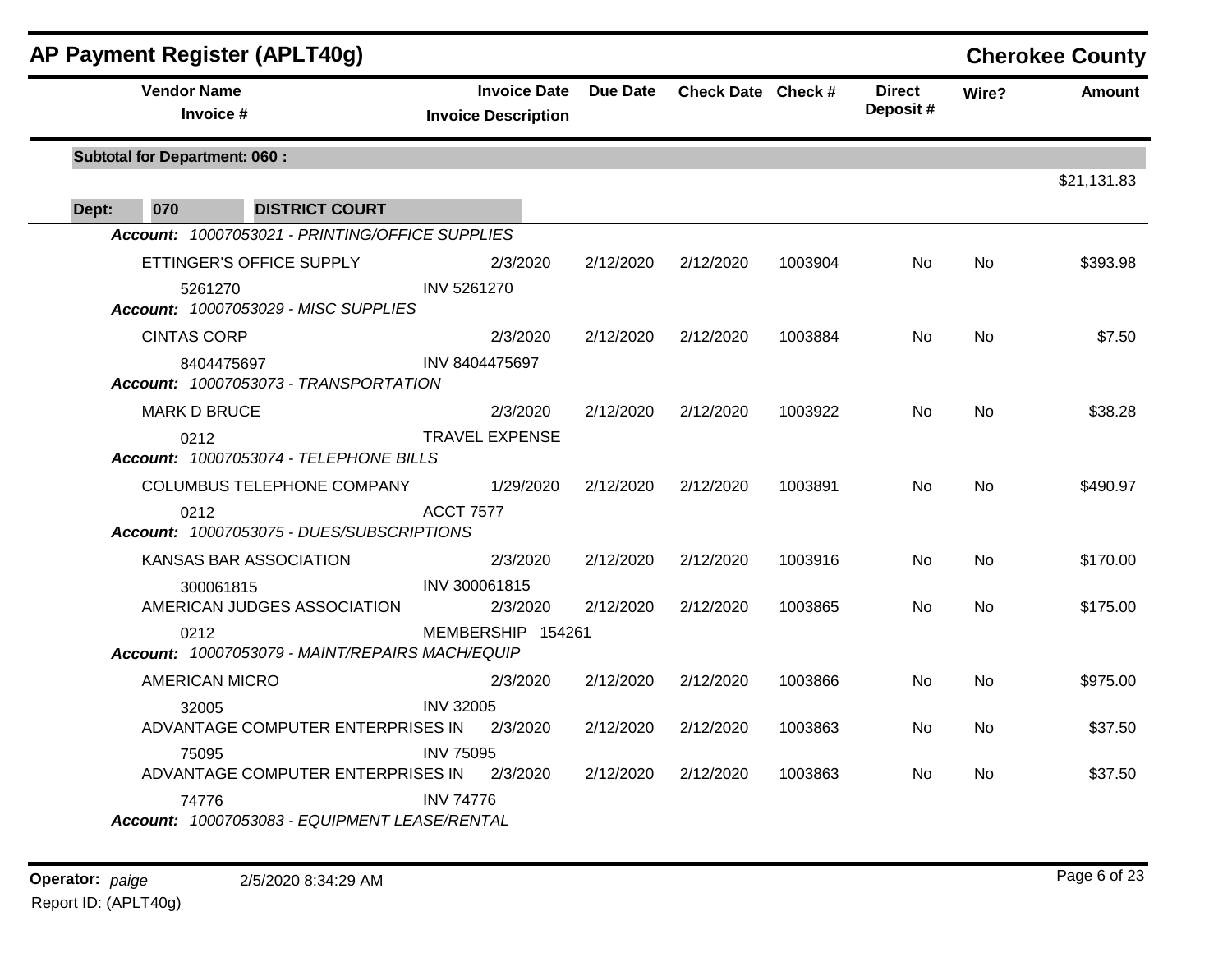| AP Payment Register (APLT40g)                           |                                                   |                 |                    |         |                           |           | <b>Cherokee County</b> |
|---------------------------------------------------------|---------------------------------------------------|-----------------|--------------------|---------|---------------------------|-----------|------------------------|
| <b>Vendor Name</b><br>Invoice #                         | <b>Invoice Date</b><br><b>Invoice Description</b> | <b>Due Date</b> | Check Date Check # |         | <b>Direct</b><br>Deposit# | Wire?     | Amount                 |
| <b>Subtotal for Department: 060:</b>                    |                                                   |                 |                    |         |                           |           |                        |
| <b>DISTRICT COURT</b><br>070<br>Dept:                   |                                                   |                 |                    |         |                           |           | \$21,131.83            |
| Account: 10007053021 - PRINTING/OFFICE SUPPLIES         |                                                   |                 |                    |         |                           |           |                        |
| ETTINGER'S OFFICE SUPPLY                                | 2/3/2020                                          | 2/12/2020       | 2/12/2020          | 1003904 | No                        | No        | \$393.98               |
| 5261270<br>Account: 10007053029 - MISC SUPPLIES         | INV 5261270                                       |                 |                    |         |                           |           |                        |
| <b>CINTAS CORP</b>                                      | 2/3/2020                                          | 2/12/2020       | 2/12/2020          | 1003884 | No.                       | No        | \$7.50                 |
| 8404475697<br>Account: 10007053073 - TRANSPORTATION     | INV 8404475697                                    |                 |                    |         |                           |           |                        |
| <b>MARK D BRUCE</b>                                     | 2/3/2020                                          | 2/12/2020       | 2/12/2020          | 1003922 | No                        | No        | \$38.28                |
| 0212<br>Account: 10007053074 - TELEPHONE BILLS          | <b>TRAVEL EXPENSE</b>                             |                 |                    |         |                           |           |                        |
| COLUMBUS TELEPHONE COMPANY                              | 1/29/2020                                         | 2/12/2020       | 2/12/2020          | 1003891 | No                        | <b>No</b> | \$490.97               |
| 0212<br>Account: 10007053075 - DUES/SUBSCRIPTIONS       | <b>ACCT 7577</b>                                  |                 |                    |         |                           |           |                        |
| KANSAS BAR ASSOCIATION                                  | 2/3/2020                                          | 2/12/2020       | 2/12/2020          | 1003916 | No.                       | <b>No</b> | \$170.00               |
| 300061815<br>AMERICAN JUDGES ASSOCIATION                | INV 300061815<br>2/3/2020                         | 2/12/2020       | 2/12/2020          | 1003865 | No.                       | <b>No</b> | \$175.00               |
| 0212<br>Account: 10007053079 - MAINT/REPAIRS MACH/EQUIP | MEMBERSHIP 154261                                 |                 |                    |         |                           |           |                        |
| <b>AMERICAN MICRO</b>                                   | 2/3/2020                                          | 2/12/2020       | 2/12/2020          | 1003866 | No.                       | <b>No</b> | \$975.00               |
| 32005<br>ADVANTAGE COMPUTER ENTERPRISES IN              | <b>INV 32005</b><br>2/3/2020                      | 2/12/2020       | 2/12/2020          | 1003863 | No.                       | No        | \$37.50                |
| 75095<br>ADVANTAGE COMPUTER ENTERPRISES IN              | <b>INV 75095</b><br>2/3/2020                      | 2/12/2020       | 2/12/2020          | 1003863 | No.                       | <b>No</b> | \$37.50                |
| 74776<br>Account: 10007053083 - EQUIPMENT LEASE/RENTAL  | <b>INV 74776</b>                                  |                 |                    |         |                           |           |                        |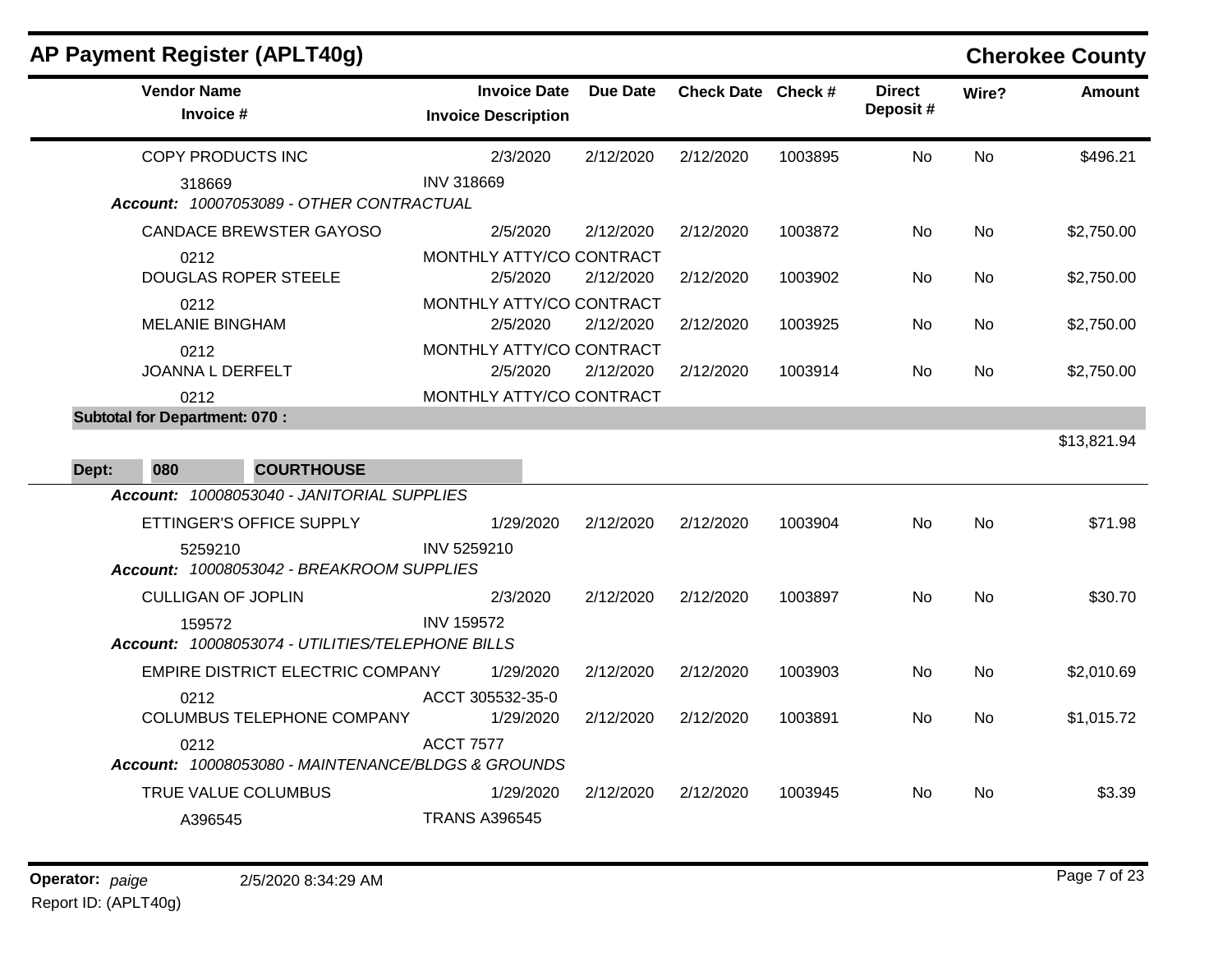| AP Payment Register (APLT40g)                              |                                                   |                 |                    |         |                           |           | <b>Cherokee County</b> |
|------------------------------------------------------------|---------------------------------------------------|-----------------|--------------------|---------|---------------------------|-----------|------------------------|
| <b>Vendor Name</b><br>Invoice #                            | <b>Invoice Date</b><br><b>Invoice Description</b> | <b>Due Date</b> | Check Date Check # |         | <b>Direct</b><br>Deposit# | Wire?     | <b>Amount</b>          |
| COPY PRODUCTS INC                                          | 2/3/2020                                          | 2/12/2020       | 2/12/2020          | 1003895 | No.                       | <b>No</b> | \$496.21               |
| 318669<br>Account: 10007053089 - OTHER CONTRACTUAL         | <b>INV 318669</b>                                 |                 |                    |         |                           |           |                        |
| <b>CANDACE BREWSTER GAYOSO</b>                             | 2/5/2020                                          | 2/12/2020       | 2/12/2020          | 1003872 | No                        | <b>No</b> | \$2,750.00             |
| 0212<br><b>DOUGLAS ROPER STEELE</b>                        | MONTHLY ATTY/CO CONTRACT<br>2/5/2020              | 2/12/2020       | 2/12/2020          | 1003902 | No                        | No.       | \$2,750.00             |
| 0212<br><b>MELANIE BINGHAM</b>                             | MONTHLY ATTY/CO CONTRACT<br>2/5/2020              | 2/12/2020       | 2/12/2020          | 1003925 | No.                       | No        | \$2,750.00             |
| 0212<br>JOANNA L DERFELT                                   | MONTHLY ATTY/CO CONTRACT<br>2/5/2020              | 2/12/2020       | 2/12/2020          | 1003914 | No.                       | No.       | \$2,750.00             |
| 0212<br><b>Subtotal for Department: 070:</b>               | MONTHLY ATTY/CO CONTRACT                          |                 |                    |         |                           |           | \$13,821.94            |
| 080<br><b>COURTHOUSE</b><br>Dept:                          |                                                   |                 |                    |         |                           |           |                        |
| Account: 10008053040 - JANITORIAL SUPPLIES                 |                                                   |                 |                    |         |                           |           |                        |
| ETTINGER'S OFFICE SUPPLY                                   | 1/29/2020                                         | 2/12/2020       | 2/12/2020          | 1003904 | No.                       | <b>No</b> | \$71.98                |
| 5259210<br>Account: 10008053042 - BREAKROOM SUPPLIES       | INV 5259210                                       |                 |                    |         |                           |           |                        |
| <b>CULLIGAN OF JOPLIN</b>                                  | 2/3/2020                                          | 2/12/2020       | 2/12/2020          | 1003897 | No.                       | <b>No</b> | \$30.70                |
| 159572<br>Account: 10008053074 - UTILITIES/TELEPHONE BILLS | <b>INV 159572</b>                                 |                 |                    |         |                           |           |                        |
| EMPIRE DISTRICT ELECTRIC COMPANY                           | 1/29/2020                                         | 2/12/2020       | 2/12/2020          | 1003903 | No                        | <b>No</b> | \$2,010.69             |
| 0212<br><b>COLUMBUS TELEPHONE COMPANY</b>                  | ACCT 305532-35-0<br>1/29/2020                     | 2/12/2020       | 2/12/2020          | 1003891 | No.                       | <b>No</b> | \$1,015.72             |
| 0212<br>Account: 10008053080 - MAINTENANCE/BLDGS & GROUNDS | <b>ACCT 7577</b>                                  |                 |                    |         |                           |           |                        |
| TRUE VALUE COLUMBUS                                        | 1/29/2020                                         | 2/12/2020       | 2/12/2020          | 1003945 | No                        | No.       | \$3.39                 |
| A396545                                                    | <b>TRANS A396545</b>                              |                 |                    |         |                           |           |                        |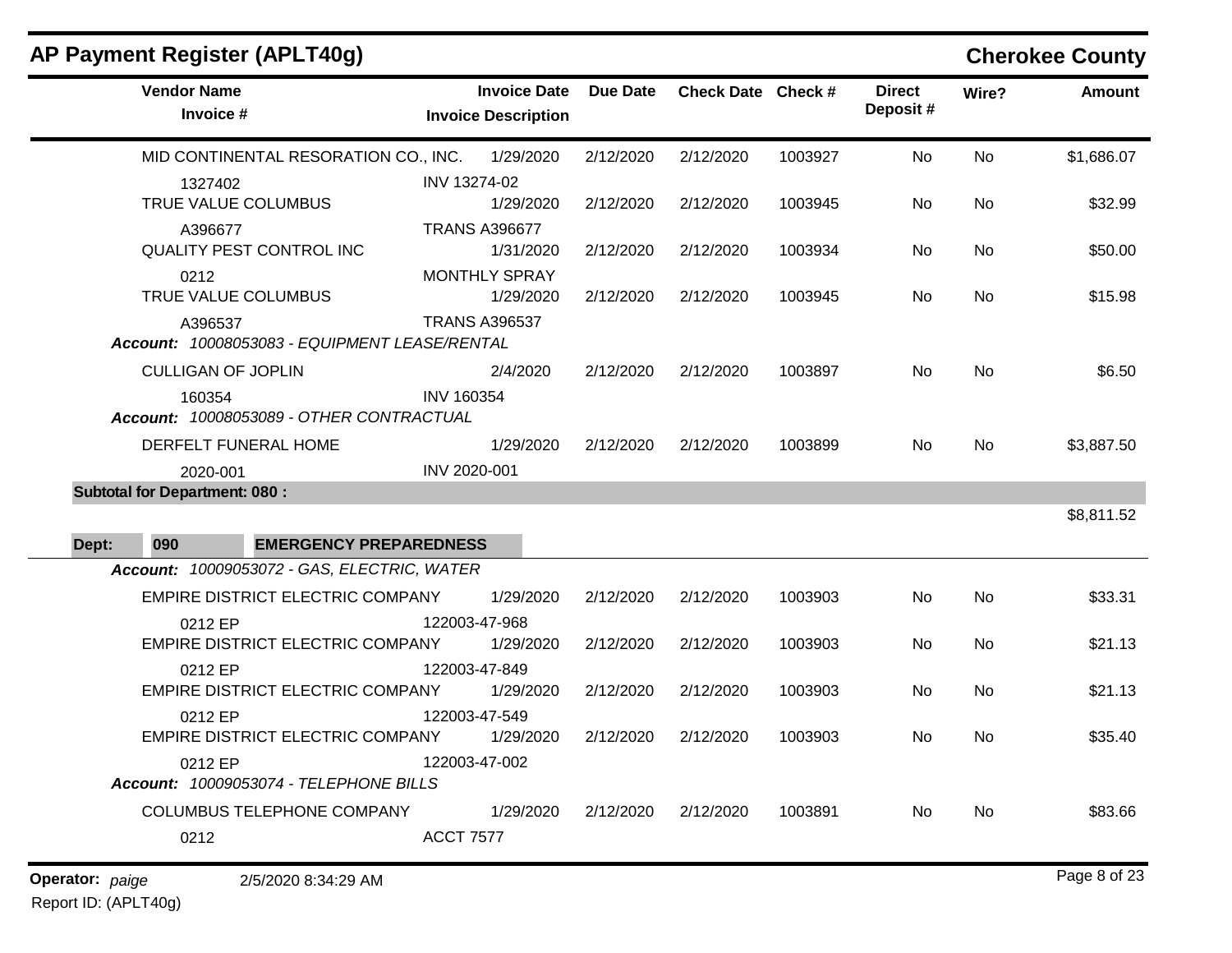| AP Payment Register (APLT40g)                            |                                                   |                 |                    |         |                           |           | <b>Cherokee County</b> |
|----------------------------------------------------------|---------------------------------------------------|-----------------|--------------------|---------|---------------------------|-----------|------------------------|
| <b>Vendor Name</b><br>Invoice #                          | <b>Invoice Date</b><br><b>Invoice Description</b> | <b>Due Date</b> | Check Date Check # |         | <b>Direct</b><br>Deposit# | Wire?     | <b>Amount</b>          |
| MID CONTINENTAL RESORATION CO., INC. 1/29/2020           |                                                   | 2/12/2020       | 2/12/2020          | 1003927 | No                        | <b>No</b> | \$1,686.07             |
| 1327402<br>TRUE VALUE COLUMBUS                           | INV 13274-02<br>1/29/2020                         | 2/12/2020       | 2/12/2020          | 1003945 | No                        | No        | \$32.99                |
| A396677<br>QUALITY PEST CONTROL INC                      | <b>TRANS A396677</b><br>1/31/2020                 | 2/12/2020       | 2/12/2020          | 1003934 | No                        | No        | \$50.00                |
| 0212<br>TRUE VALUE COLUMBUS                              | <b>MONTHLY SPRAY</b><br>1/29/2020                 | 2/12/2020       | 2/12/2020          | 1003945 | No                        | <b>No</b> | \$15.98                |
| A396537<br>Account: 10008053083 - EQUIPMENT LEASE/RENTAL | <b>TRANS A396537</b>                              |                 |                    |         |                           |           |                        |
| <b>CULLIGAN OF JOPLIN</b>                                | 2/4/2020                                          | 2/12/2020       | 2/12/2020          | 1003897 | No                        | No        | \$6.50                 |
| 160354<br>Account: 10008053089 - OTHER CONTRACTUAL       | <b>INV 160354</b>                                 |                 |                    |         |                           |           |                        |
| DERFELT FUNERAL HOME                                     | 1/29/2020                                         | 2/12/2020       | 2/12/2020          | 1003899 | No                        | No        | \$3,887.50             |
| 2020-001                                                 | INV 2020-001                                      |                 |                    |         |                           |           |                        |
| <b>Subtotal for Department: 080:</b>                     |                                                   |                 |                    |         |                           |           | \$8,811.52             |
| 090<br><b>EMERGENCY PREPAREDNESS</b><br>Dept:            |                                                   |                 |                    |         |                           |           |                        |
| Account: 10009053072 - GAS, ELECTRIC, WATER              |                                                   |                 |                    |         |                           |           |                        |
| EMPIRE DISTRICT ELECTRIC COMPANY                         | 1/29/2020                                         | 2/12/2020       | 2/12/2020          | 1003903 | No                        | No        | \$33.31                |
| 0212 EP<br>EMPIRE DISTRICT ELECTRIC COMPANY              | 122003-47-968<br>1/29/2020                        | 2/12/2020       | 2/12/2020          | 1003903 | No                        | No        | \$21.13                |
| 0212 EP<br>EMPIRE DISTRICT ELECTRIC COMPANY              | 122003-47-849<br>1/29/2020                        | 2/12/2020       | 2/12/2020          | 1003903 | No                        | No        | \$21.13                |
| 0212 EP<br>EMPIRE DISTRICT ELECTRIC COMPANY              | 122003-47-549<br>1/29/2020                        | 2/12/2020       | 2/12/2020          | 1003903 | No.                       | No.       | \$35.40                |
| 0212 EP<br>Account: 10009053074 - TELEPHONE BILLS        | 122003-47-002                                     |                 |                    |         |                           |           |                        |
| COLUMBUS TELEPHONE COMPANY                               | 1/29/2020                                         | 2/12/2020       | 2/12/2020          | 1003891 | No                        | No        | \$83.66                |
| 0212                                                     | <b>ACCT 7577</b>                                  |                 |                    |         |                           |           |                        |
| Operator: paige<br>2/5/2020 8:34:29 AM                   |                                                   |                 |                    |         |                           |           | Page 8 of 23           |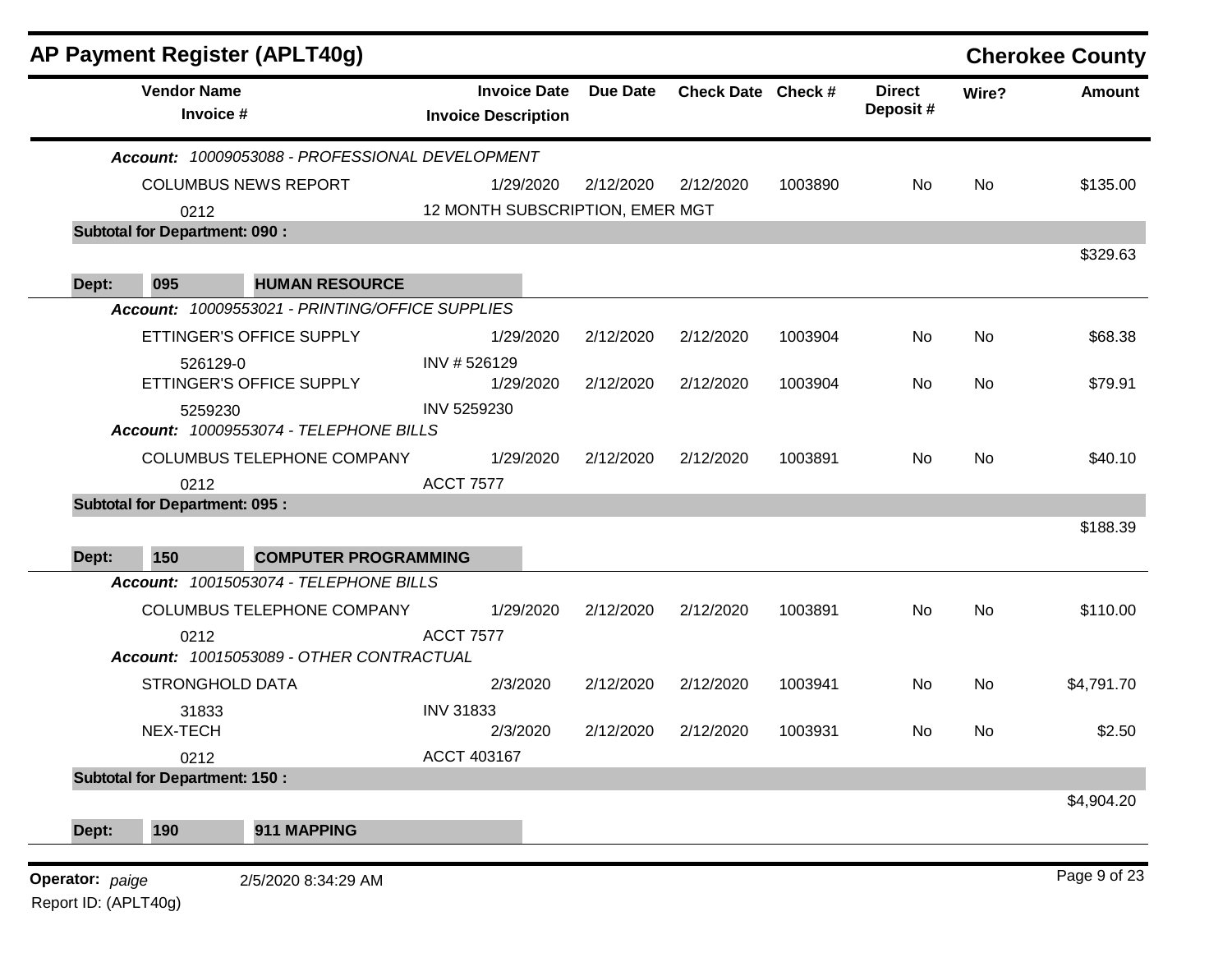|       |                                       | AP Payment Register (APLT40g)                   |                                                   |                 |                    |         |                           |       | <b>Cherokee County</b> |
|-------|---------------------------------------|-------------------------------------------------|---------------------------------------------------|-----------------|--------------------|---------|---------------------------|-------|------------------------|
|       | <b>Vendor Name</b><br>Invoice #       |                                                 | <b>Invoice Date</b><br><b>Invoice Description</b> | <b>Due Date</b> | Check Date Check # |         | <b>Direct</b><br>Deposit# | Wire? | <b>Amount</b>          |
|       |                                       | Account: 10009053088 - PROFESSIONAL DEVELOPMENT |                                                   |                 |                    |         |                           |       |                        |
|       |                                       | <b>COLUMBUS NEWS REPORT</b>                     | 1/29/2020                                         | 2/12/2020       | 2/12/2020          | 1003890 | No                        | No    | \$135.00               |
|       | 0212                                  |                                                 | 12 MONTH SUBSCRIPTION, EMER MGT                   |                 |                    |         |                           |       |                        |
|       | <b>Subtotal for Department: 090:</b>  |                                                 |                                                   |                 |                    |         |                           |       |                        |
|       |                                       |                                                 |                                                   |                 |                    |         |                           |       | \$329.63               |
| Dept: | 095                                   | <b>HUMAN RESOURCE</b>                           |                                                   |                 |                    |         |                           |       |                        |
|       |                                       | Account: 10009553021 - PRINTING/OFFICE SUPPLIES |                                                   |                 |                    |         |                           |       |                        |
|       |                                       | ETTINGER'S OFFICE SUPPLY                        | 1/29/2020                                         | 2/12/2020       | 2/12/2020          | 1003904 | No.                       | No    | \$68.38                |
|       | 526129-0                              |                                                 | INV #526129                                       |                 |                    |         |                           |       |                        |
|       |                                       | ETTINGER'S OFFICE SUPPLY                        | 1/29/2020<br>INV 5259230                          | 2/12/2020       | 2/12/2020          | 1003904 | No                        | No    | \$79.91                |
|       | 5259230                               | Account: 10009553074 - TELEPHONE BILLS          |                                                   |                 |                    |         |                           |       |                        |
|       |                                       | COLUMBUS TELEPHONE COMPANY                      | 1/29/2020                                         | 2/12/2020       | 2/12/2020          | 1003891 | No                        | No    | \$40.10                |
|       | 0212                                  |                                                 | <b>ACCT 7577</b>                                  |                 |                    |         |                           |       |                        |
|       | <b>Subtotal for Department: 095 :</b> |                                                 |                                                   |                 |                    |         |                           |       |                        |
|       |                                       |                                                 |                                                   |                 |                    |         |                           |       | \$188.39               |
| Dept: | 150                                   | <b>COMPUTER PROGRAMMING</b>                     |                                                   |                 |                    |         |                           |       |                        |
|       |                                       | Account: 10015053074 - TELEPHONE BILLS          |                                                   |                 |                    |         |                           |       |                        |
|       |                                       | COLUMBUS TELEPHONE COMPANY                      | 1/29/2020                                         | 2/12/2020       | 2/12/2020          | 1003891 | No                        | No    | \$110.00               |
|       | 0212                                  | Account: 10015053089 - OTHER CONTRACTUAL        | <b>ACCT 7577</b>                                  |                 |                    |         |                           |       |                        |
|       | <b>STRONGHOLD DATA</b>                |                                                 | 2/3/2020                                          | 2/12/2020       | 2/12/2020          | 1003941 | No                        | No    | \$4,791.70             |
|       | 31833                                 |                                                 | <b>INV 31833</b>                                  |                 |                    |         |                           |       |                        |
|       | NEX-TECH                              |                                                 | 2/3/2020                                          | 2/12/2020       | 2/12/2020          | 1003931 | No.                       | No    | \$2.50                 |
|       | 0212                                  |                                                 | ACCT 403167                                       |                 |                    |         |                           |       |                        |
|       | <b>Subtotal for Department: 150:</b>  |                                                 |                                                   |                 |                    |         |                           |       | \$4,904.20             |
|       | 190                                   | 911 MAPPING                                     |                                                   |                 |                    |         |                           |       |                        |
| Dept: |                                       |                                                 |                                                   |                 |                    |         |                           |       |                        |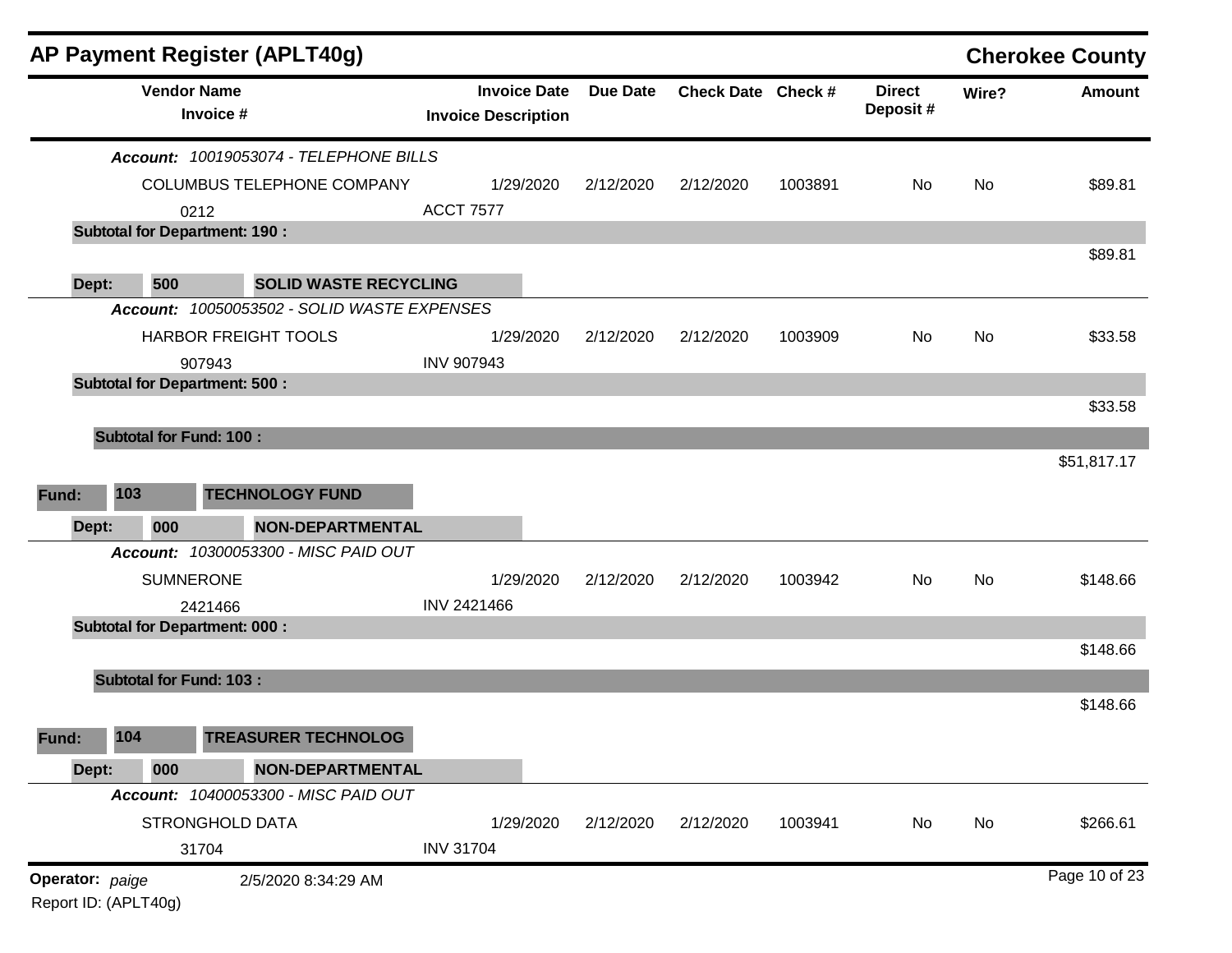|                  |                                | AP Payment Register (APLT40g)                  |                            |                     |           |                    |         |                           |       | <b>Cherokee County</b> |
|------------------|--------------------------------|------------------------------------------------|----------------------------|---------------------|-----------|--------------------|---------|---------------------------|-------|------------------------|
|                  |                                | <b>Vendor Name</b><br>Invoice #                | <b>Invoice Description</b> | <b>Invoice Date</b> | Due Date  | Check Date Check # |         | <b>Direct</b><br>Deposit# | Wire? | <b>Amount</b>          |
|                  |                                | Account: 10019053074 - TELEPHONE BILLS         |                            |                     |           |                    |         |                           |       |                        |
|                  |                                | COLUMBUS TELEPHONE COMPANY                     |                            | 1/29/2020           | 2/12/2020 | 2/12/2020          | 1003891 | No.                       | No    | \$89.81                |
|                  |                                | 0212                                           | <b>ACCT 7577</b>           |                     |           |                    |         |                           |       |                        |
|                  |                                | <b>Subtotal for Department: 190:</b>           |                            |                     |           |                    |         |                           |       |                        |
|                  | 500                            | <b>SOLID WASTE RECYCLING</b>                   |                            |                     |           |                    |         |                           |       | \$89.81                |
| Dept:            |                                | Account: 10050053502 - SOLID WASTE EXPENSES    |                            |                     |           |                    |         |                           |       |                        |
|                  |                                |                                                |                            |                     |           |                    |         |                           |       |                        |
|                  |                                | HARBOR FREIGHT TOOLS                           |                            | 1/29/2020           | 2/12/2020 | 2/12/2020          | 1003909 | No.                       | No    | \$33.58                |
|                  |                                | 907943<br><b>Subtotal for Department: 500:</b> | <b>INV 907943</b>          |                     |           |                    |         |                           |       |                        |
|                  |                                |                                                |                            |                     |           |                    |         |                           |       | \$33.58                |
|                  | <b>Subtotal for Fund: 100:</b> |                                                |                            |                     |           |                    |         |                           |       |                        |
|                  |                                |                                                |                            |                     |           |                    |         |                           |       | \$51,817.17            |
|                  |                                |                                                |                            |                     |           |                    |         |                           |       |                        |
| Fund:            | 103                            | <b>TECHNOLOGY FUND</b>                         |                            |                     |           |                    |         |                           |       |                        |
| Dept:            | 000                            | <b>NON-DEPARTMENTAL</b>                        |                            |                     |           |                    |         |                           |       |                        |
|                  |                                | Account: 10300053300 - MISC PAID OUT           |                            |                     |           |                    |         |                           |       |                        |
|                  |                                | <b>SUMNERONE</b>                               |                            | 1/29/2020           | 2/12/2020 | 2/12/2020          | 1003942 | No                        | No    | \$148.66               |
|                  |                                | 2421466                                        | INV 2421466                |                     |           |                    |         |                           |       |                        |
|                  |                                | <b>Subtotal for Department: 000:</b>           |                            |                     |           |                    |         |                           |       |                        |
|                  |                                |                                                |                            |                     |           |                    |         |                           |       | \$148.66               |
|                  | <b>Subtotal for Fund: 103:</b> |                                                |                            |                     |           |                    |         |                           |       |                        |
|                  |                                |                                                |                            |                     |           |                    |         |                           |       | \$148.66               |
| <b>Fund: 104</b> |                                | TREASURER TECHNOLOG                            |                            |                     |           |                    |         |                           |       |                        |
| Dept:            | 000                            | <b>NON-DEPARTMENTAL</b>                        |                            |                     |           |                    |         |                           |       |                        |
|                  |                                | Account: 10400053300 - MISC PAID OUT           |                            |                     |           |                    |         |                           |       |                        |
|                  |                                | STRONGHOLD DATA                                |                            | 1/29/2020           | 2/12/2020 | 2/12/2020          | 1003941 | No                        | No    | \$266.61               |
|                  |                                | 31704                                          | <b>INV 31704</b>           |                     |           |                    |         |                           |       |                        |
| Operator: paige  | Report ID: (APLT40g)           | 2/5/2020 8:34:29 AM                            |                            |                     |           |                    |         |                           |       | Page 10 of 23          |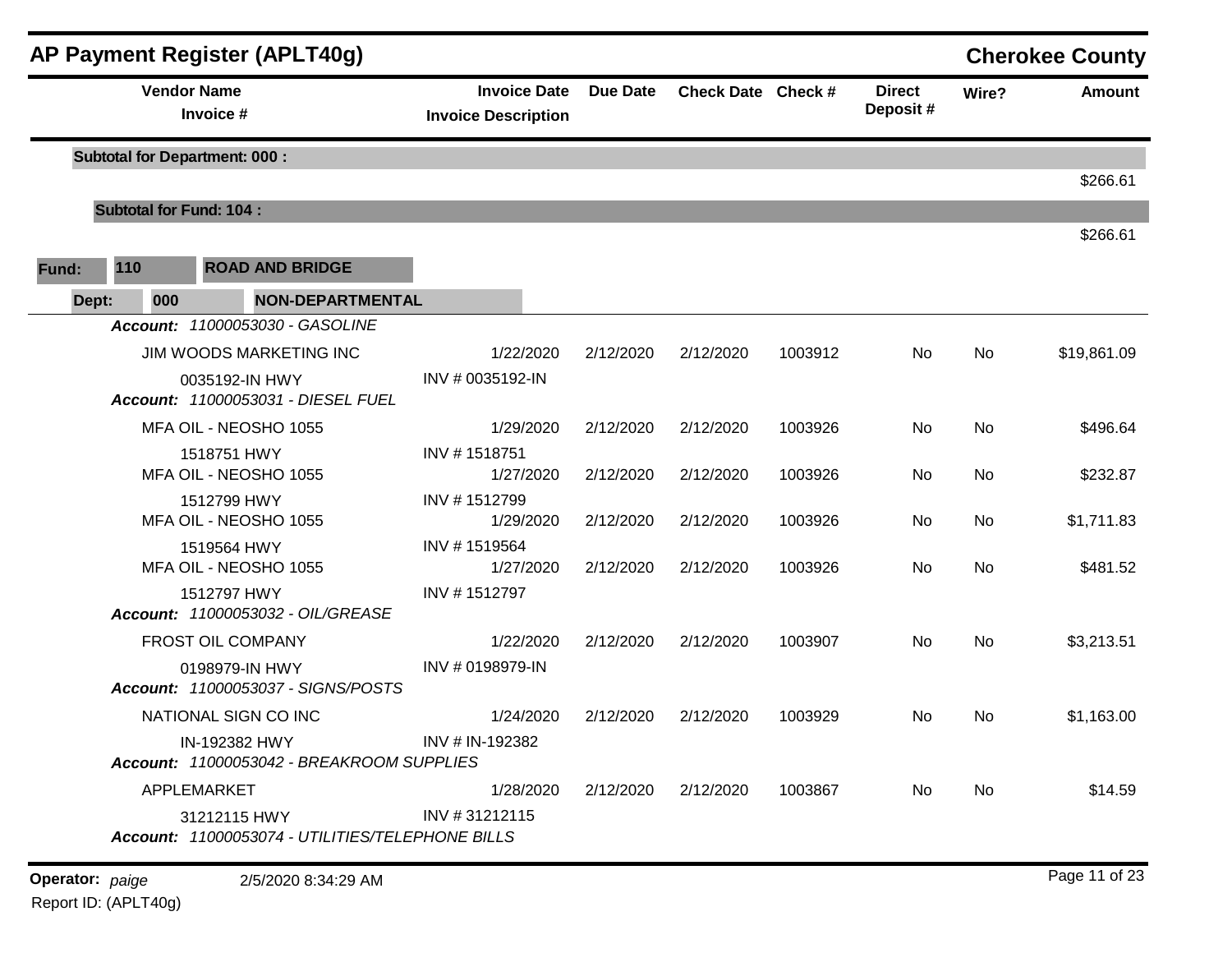|       |       |                    | AP Payment Register (APLT40g)                                    |                                                   |                 |                    |         |                           |       | <b>Cherokee County</b> |
|-------|-------|--------------------|------------------------------------------------------------------|---------------------------------------------------|-----------------|--------------------|---------|---------------------------|-------|------------------------|
|       |       | <b>Vendor Name</b> | Invoice #                                                        | <b>Invoice Date</b><br><b>Invoice Description</b> | <b>Due Date</b> | Check Date Check # |         | <b>Direct</b><br>Deposit# | Wire? | Amount                 |
|       |       |                    | <b>Subtotal for Department: 000:</b>                             |                                                   |                 |                    |         |                           |       | \$266.61               |
|       |       |                    | <b>Subtotal for Fund: 104:</b>                                   |                                                   |                 |                    |         |                           |       |                        |
| Fund: | 110   |                    | <b>ROAD AND BRIDGE</b>                                           |                                                   |                 |                    |         |                           |       | \$266.61               |
|       | Dept: | 000                | <b>NON-DEPARTMENTAL</b>                                          |                                                   |                 |                    |         |                           |       |                        |
|       |       |                    | Account: 11000053030 - GASOLINE                                  |                                                   |                 |                    |         |                           |       |                        |
|       |       |                    | JIM WOODS MARKETING INC                                          | 1/22/2020                                         | 2/12/2020       | 2/12/2020          | 1003912 | No                        | No    | \$19,861.09            |
|       |       |                    | 0035192-IN HWY<br>Account: 11000053031 - DIESEL FUEL             | INV # 0035192-IN                                  |                 |                    |         |                           |       |                        |
|       |       |                    | MFA OIL - NEOSHO 1055                                            | 1/29/2020                                         | 2/12/2020       | 2/12/2020          | 1003926 | No                        | No    | \$496.64               |
|       |       |                    | 1518751 HWY<br>MFA OIL - NEOSHO 1055                             | INV #1518751<br>1/27/2020                         | 2/12/2020       | 2/12/2020          | 1003926 | No                        | No    | \$232.87               |
|       |       |                    | 1512799 HWY<br>MFA OIL - NEOSHO 1055                             | INV #1512799<br>1/29/2020                         | 2/12/2020       | 2/12/2020          | 1003926 | No                        | No    | \$1,711.83             |
|       |       |                    | 1519564 HWY                                                      | INV #1519564                                      |                 |                    |         |                           |       |                        |
|       |       |                    | MFA OIL - NEOSHO 1055                                            | 1/27/2020                                         | 2/12/2020       | 2/12/2020          | 1003926 | No                        | No    | \$481.52               |
|       |       |                    | 1512797 HWY<br>Account: 11000053032 - OIL/GREASE                 | INV #1512797                                      |                 |                    |         |                           |       |                        |
|       |       |                    | FROST OIL COMPANY                                                | 1/22/2020                                         | 2/12/2020       | 2/12/2020          | 1003907 | No                        | No    | \$3,213.51             |
|       |       |                    | 0198979-IN HWY<br>Account: 11000053037 - SIGNS/POSTS             | INV # 0198979-IN                                  |                 |                    |         |                           |       |                        |
|       |       |                    | NATIONAL SIGN CO INC                                             | 1/24/2020                                         | 2/12/2020       | 2/12/2020          | 1003929 | No                        | No    | \$1,163.00             |
|       |       |                    | IN-192382 HWY<br>Account: 11000053042 - BREAKROOM SUPPLIES       | INV # IN-192382                                   |                 |                    |         |                           |       |                        |
|       |       |                    | APPLEMARKET                                                      | 1/28/2020                                         | 2/12/2020       | 2/12/2020          | 1003867 | No                        | No    | \$14.59                |
|       |       |                    | 31212115 HWY<br>Account: 11000053074 - UTILITIES/TELEPHONE BILLS | INV #31212115                                     |                 |                    |         |                           |       |                        |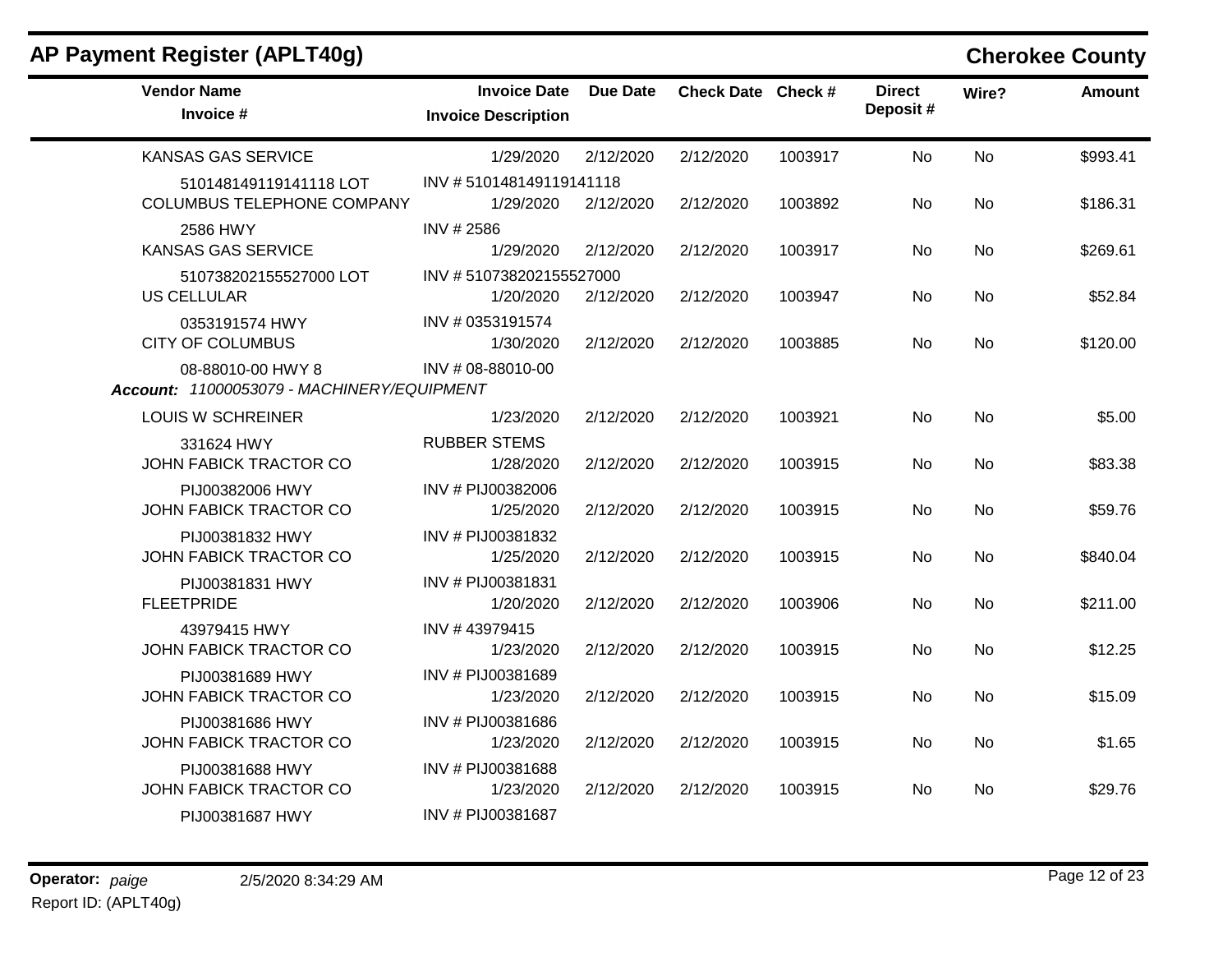## **AP Payment Register (APLT40g) Cherokee County**

| <b>Vendor Name</b><br>Invoice #                                 | <b>Invoice Date</b><br><b>Invoice Description</b> | <b>Due Date</b> | Check Date Check # |         | <b>Direct</b><br>Deposit# | Wire?     | Amount   |
|-----------------------------------------------------------------|---------------------------------------------------|-----------------|--------------------|---------|---------------------------|-----------|----------|
| <b>KANSAS GAS SERVICE</b>                                       | 1/29/2020                                         | 2/12/2020       | 2/12/2020          | 1003917 | <b>No</b>                 | No        | \$993.41 |
| 510148149119141118 LOT                                          | INV #510148149119141118                           |                 |                    |         |                           |           |          |
| <b>COLUMBUS TELEPHONE COMPANY</b>                               | 1/29/2020                                         | 2/12/2020       | 2/12/2020          | 1003892 | No                        | No        | \$186.31 |
| 2586 HWY                                                        | INV # 2586                                        |                 |                    |         |                           |           |          |
| <b>KANSAS GAS SERVICE</b>                                       | 1/29/2020                                         | 2/12/2020       | 2/12/2020          | 1003917 | No                        | No        | \$269.61 |
| 510738202155527000 LOT                                          | INV #510738202155527000                           |                 |                    |         |                           |           |          |
| <b>US CELLULAR</b>                                              | 1/20/2020                                         | 2/12/2020       | 2/12/2020          | 1003947 | No                        | No        | \$52.84  |
| 0353191574 HWY                                                  | INV # 0353191574                                  |                 |                    |         |                           |           |          |
| <b>CITY OF COLUMBUS</b>                                         | 1/30/2020                                         | 2/12/2020       | 2/12/2020          | 1003885 | No                        | No        | \$120.00 |
| 08-88010-00 HWY 8<br>Account: 11000053079 - MACHINERY/EQUIPMENT | INV # 08-88010-00                                 |                 |                    |         |                           |           |          |
| <b>LOUIS W SCHREINER</b>                                        | 1/23/2020                                         | 2/12/2020       | 2/12/2020          | 1003921 | No                        | No        | \$5.00   |
| 331624 HWY                                                      | <b>RUBBER STEMS</b>                               |                 |                    |         |                           |           |          |
| JOHN FABICK TRACTOR CO                                          | 1/28/2020                                         | 2/12/2020       | 2/12/2020          | 1003915 | <b>No</b>                 | <b>No</b> | \$83.38  |
| PIJ00382006 HWY                                                 | INV # PIJ00382006                                 |                 |                    |         |                           |           |          |
| JOHN FABICK TRACTOR CO                                          | 1/25/2020                                         | 2/12/2020       | 2/12/2020          | 1003915 | No                        | <b>No</b> | \$59.76  |
| PIJ00381832 HWY                                                 | INV # PIJ00381832                                 |                 |                    |         |                           |           |          |
| JOHN FABICK TRACTOR CO                                          | 1/25/2020                                         | 2/12/2020       | 2/12/2020          | 1003915 | No                        | No        | \$840.04 |
| PIJ00381831 HWY                                                 | INV # PIJ00381831                                 |                 |                    |         |                           |           |          |
| <b>FLEETPRIDE</b>                                               | 1/20/2020                                         | 2/12/2020       | 2/12/2020          | 1003906 | No                        | No        | \$211.00 |
| 43979415 HWY                                                    | INV #43979415                                     |                 |                    |         |                           |           |          |
| JOHN FABICK TRACTOR CO                                          | 1/23/2020                                         | 2/12/2020       | 2/12/2020          | 1003915 | No                        | No        | \$12.25  |
| PIJ00381689 HWY                                                 | INV # PIJ00381689                                 |                 |                    |         |                           |           |          |
| JOHN FABICK TRACTOR CO                                          | 1/23/2020                                         | 2/12/2020       | 2/12/2020          | 1003915 | No                        | No        | \$15.09  |
| PIJ00381686 HWY                                                 | INV # PIJ00381686                                 |                 |                    |         |                           |           |          |
| JOHN FABICK TRACTOR CO                                          | 1/23/2020                                         | 2/12/2020       | 2/12/2020          | 1003915 | No                        | <b>No</b> | \$1.65   |
| PIJ00381688 HWY                                                 | INV # PIJ00381688                                 |                 |                    |         |                           |           |          |
| JOHN FABICK TRACTOR CO                                          | 1/23/2020                                         | 2/12/2020       | 2/12/2020          | 1003915 | No.                       | No        | \$29.76  |
| PIJ00381687 HWY                                                 | INV # PIJ00381687                                 |                 |                    |         |                           |           |          |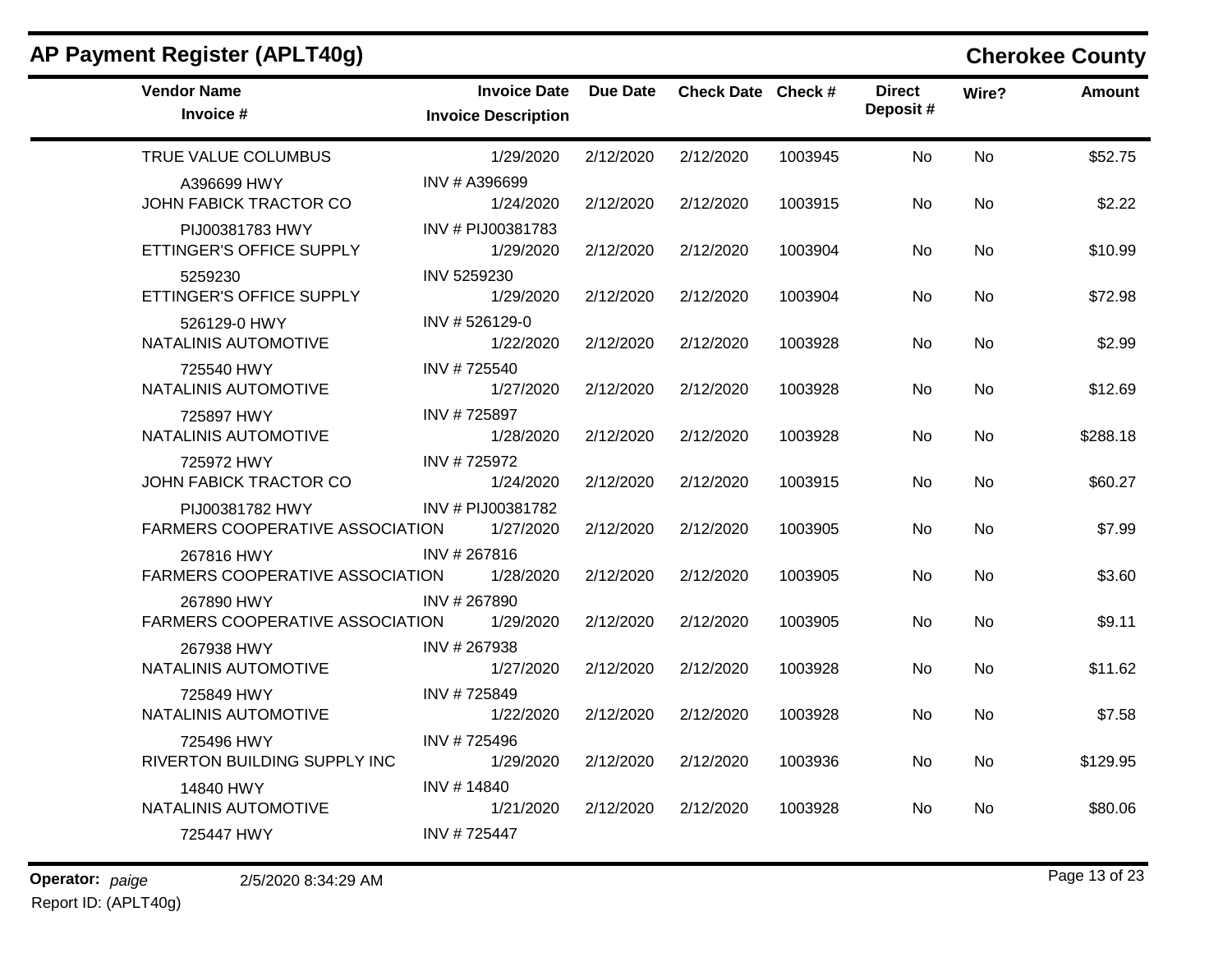| AP Payment Register (APLT40g)                      |                                                   |           |                    |         |                           |           | <b>Cherokee County</b> |
|----------------------------------------------------|---------------------------------------------------|-----------|--------------------|---------|---------------------------|-----------|------------------------|
| <b>Vendor Name</b><br>Invoice #                    | <b>Invoice Date</b><br><b>Invoice Description</b> | Due Date  | Check Date Check # |         | <b>Direct</b><br>Deposit# | Wire?     | <b>Amount</b>          |
| TRUE VALUE COLUMBUS                                | 1/29/2020                                         | 2/12/2020 | 2/12/2020          | 1003945 | <b>No</b>                 | <b>No</b> | \$52.75                |
| A396699 HWY<br>JOHN FABICK TRACTOR CO              | INV # A396699<br>1/24/2020                        | 2/12/2020 | 2/12/2020          | 1003915 | No                        | <b>No</b> | \$2.22                 |
| PIJ00381783 HWY<br>ETTINGER'S OFFICE SUPPLY        | INV # PIJ00381783<br>1/29/2020                    | 2/12/2020 | 2/12/2020          | 1003904 | No.                       | No        | \$10.99                |
| 5259230<br>ETTINGER'S OFFICE SUPPLY                | INV 5259230<br>1/29/2020                          | 2/12/2020 | 2/12/2020          | 1003904 | No                        | No        | \$72.98                |
| 526129-0 HWY<br>NATALINIS AUTOMOTIVE               | INV #526129-0<br>1/22/2020                        | 2/12/2020 | 2/12/2020          | 1003928 | No.                       | No        | \$2.99                 |
| 725540 HWY<br>NATALINIS AUTOMOTIVE                 | INV #725540<br>1/27/2020                          | 2/12/2020 | 2/12/2020          | 1003928 | No                        | No        | \$12.69                |
| 725897 HWY<br>NATALINIS AUTOMOTIVE                 | INV #725897<br>1/28/2020                          | 2/12/2020 | 2/12/2020          | 1003928 | No                        | No        | \$288.18               |
| 725972 HWY<br>JOHN FABICK TRACTOR CO               | INV #725972<br>1/24/2020                          | 2/12/2020 | 2/12/2020          | 1003915 | No                        | <b>No</b> | \$60.27                |
| PIJ00381782 HWY<br>FARMERS COOPERATIVE ASSOCIATION | INV # PIJ00381782<br>1/27/2020                    | 2/12/2020 | 2/12/2020          | 1003905 | No.                       | No        | \$7.99                 |
| 267816 HWY<br>FARMERS COOPERATIVE ASSOCIATION      | INV # 267816<br>1/28/2020                         | 2/12/2020 | 2/12/2020          | 1003905 | No.                       | No        | \$3.60                 |
| 267890 HWY<br>FARMERS COOPERATIVE ASSOCIATION      | INV #267890<br>1/29/2020                          | 2/12/2020 | 2/12/2020          | 1003905 | No                        | No        | \$9.11                 |
| 267938 HWY<br>NATALINIS AUTOMOTIVE                 | INV #267938<br>1/27/2020                          | 2/12/2020 | 2/12/2020          | 1003928 | No                        | No        | \$11.62                |
| 725849 HWY<br>NATALINIS AUTOMOTIVE                 | INV #725849<br>1/22/2020                          | 2/12/2020 | 2/12/2020          | 1003928 | No                        | No        | \$7.58                 |
| 725496 HWY<br>RIVERTON BUILDING SUPPLY INC         | INV #725496<br>1/29/2020                          | 2/12/2020 | 2/12/2020          | 1003936 | No                        | No        | \$129.95               |
| 14840 HWY<br>NATALINIS AUTOMOTIVE                  | INV #14840<br>1/21/2020                           | 2/12/2020 | 2/12/2020          | 1003928 | No                        | No        | \$80.06                |
| 725447 HWY                                         | INV #725447                                       |           |                    |         |                           |           |                        |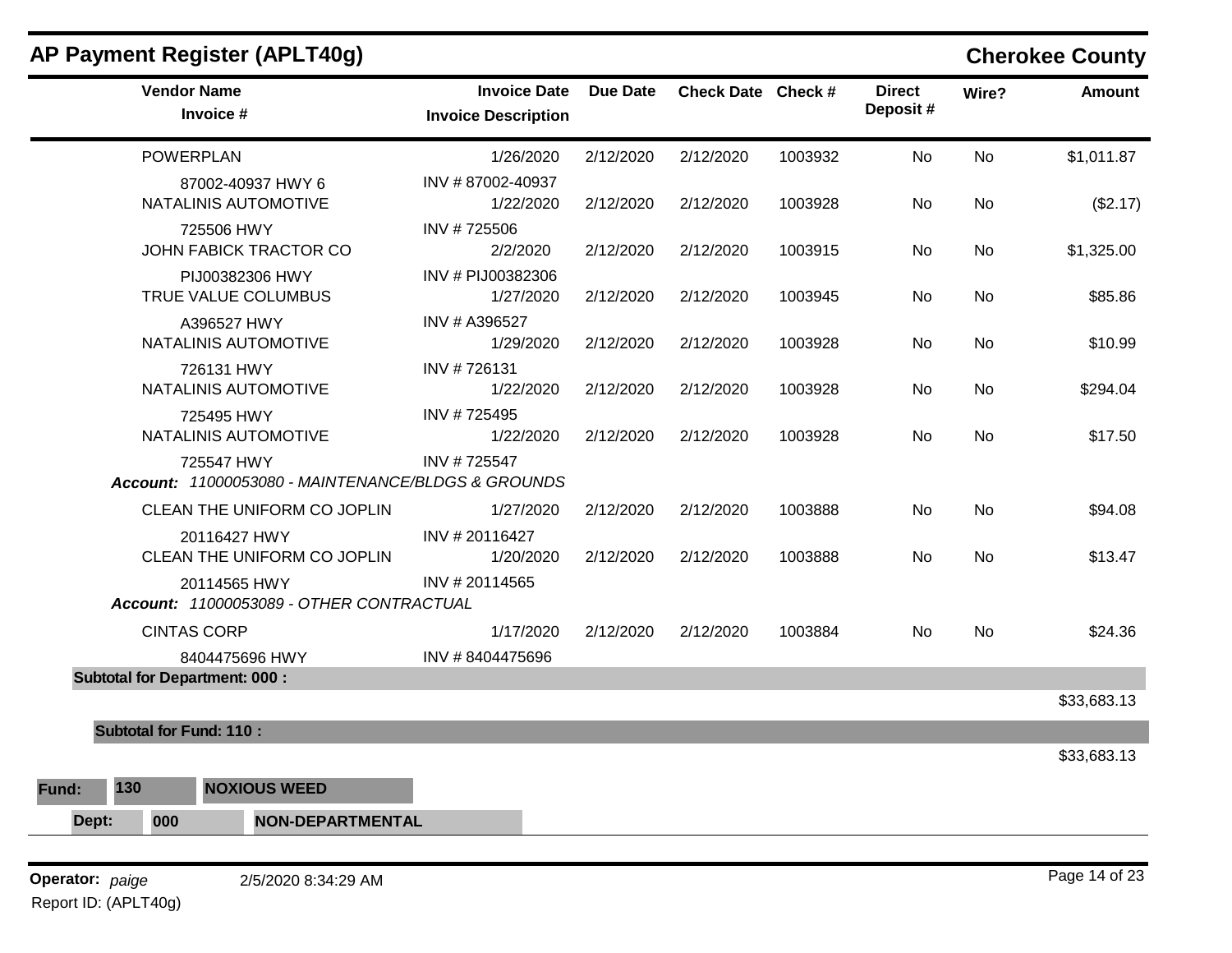| AP Payment Register (APLT40g)                                    |                                                   |                 |                    |         |                           |       | <b>Cherokee County</b> |
|------------------------------------------------------------------|---------------------------------------------------|-----------------|--------------------|---------|---------------------------|-------|------------------------|
| <b>Vendor Name</b><br>Invoice #                                  | <b>Invoice Date</b><br><b>Invoice Description</b> | <b>Due Date</b> | Check Date Check # |         | <b>Direct</b><br>Deposit# | Wire? | <b>Amount</b>          |
| <b>POWERPLAN</b>                                                 | 1/26/2020                                         | 2/12/2020       | 2/12/2020          | 1003932 | No                        | No    | \$1,011.87             |
| 87002-40937 HWY 6<br>NATALINIS AUTOMOTIVE                        | INV #87002-40937<br>1/22/2020                     | 2/12/2020       | 2/12/2020          | 1003928 | No                        | No    | (\$2.17)               |
| 725506 HWY<br>JOHN FABICK TRACTOR CO                             | INV #725506<br>2/2/2020                           | 2/12/2020       | 2/12/2020          | 1003915 | No                        | No    | \$1,325.00             |
| PIJ00382306 HWY<br>TRUE VALUE COLUMBUS                           | INV # PIJ00382306<br>1/27/2020                    | 2/12/2020       | 2/12/2020          | 1003945 | No                        | No    | \$85.86                |
| A396527 HWY<br>NATALINIS AUTOMOTIVE                              | INV # A396527<br>1/29/2020                        | 2/12/2020       | 2/12/2020          | 1003928 | No                        | No    | \$10.99                |
| 726131 HWY<br>NATALINIS AUTOMOTIVE                               | INV #726131<br>1/22/2020                          | 2/12/2020       | 2/12/2020          | 1003928 | No.                       | No    | \$294.04               |
| 725495 HWY<br>NATALINIS AUTOMOTIVE                               | INV #725495<br>1/22/2020                          | 2/12/2020       | 2/12/2020          | 1003928 | No                        | No    | \$17.50                |
| 725547 HWY<br>Account: 11000053080 - MAINTENANCE/BLDGS & GROUNDS | INV #725547                                       |                 |                    |         |                           |       |                        |
| CLEAN THE UNIFORM CO JOPLIN                                      | 1/27/2020                                         | 2/12/2020       | 2/12/2020          | 1003888 | No                        | No    | \$94.08                |
| 20116427 HWY<br>CLEAN THE UNIFORM CO JOPLIN                      | INV #20116427<br>1/20/2020                        | 2/12/2020       | 2/12/2020          | 1003888 | No                        | No    | \$13.47                |
| 20114565 HWY<br>Account: 11000053089 - OTHER CONTRACTUAL         | INV #20114565                                     |                 |                    |         |                           |       |                        |
| <b>CINTAS CORP</b>                                               | 1/17/2020                                         | 2/12/2020       | 2/12/2020          | 1003884 | No                        | No    | \$24.36                |
| 8404475696 HWY                                                   | INV #8404475696                                   |                 |                    |         |                           |       |                        |
| <b>Subtotal for Department: 000:</b>                             |                                                   |                 |                    |         |                           |       | \$33,683.13            |
|                                                                  |                                                   |                 |                    |         |                           |       |                        |
| <b>Subtotal for Fund: 110:</b>                                   |                                                   |                 |                    |         |                           |       | \$33,683.13            |
| 130<br><b>NOXIOUS WEED</b><br>Fund:                              |                                                   |                 |                    |         |                           |       |                        |
|                                                                  |                                                   |                 |                    |         |                           |       |                        |
| 000<br><b>NON-DEPARTMENTAL</b><br>Dept:                          |                                                   |                 |                    |         |                           |       |                        |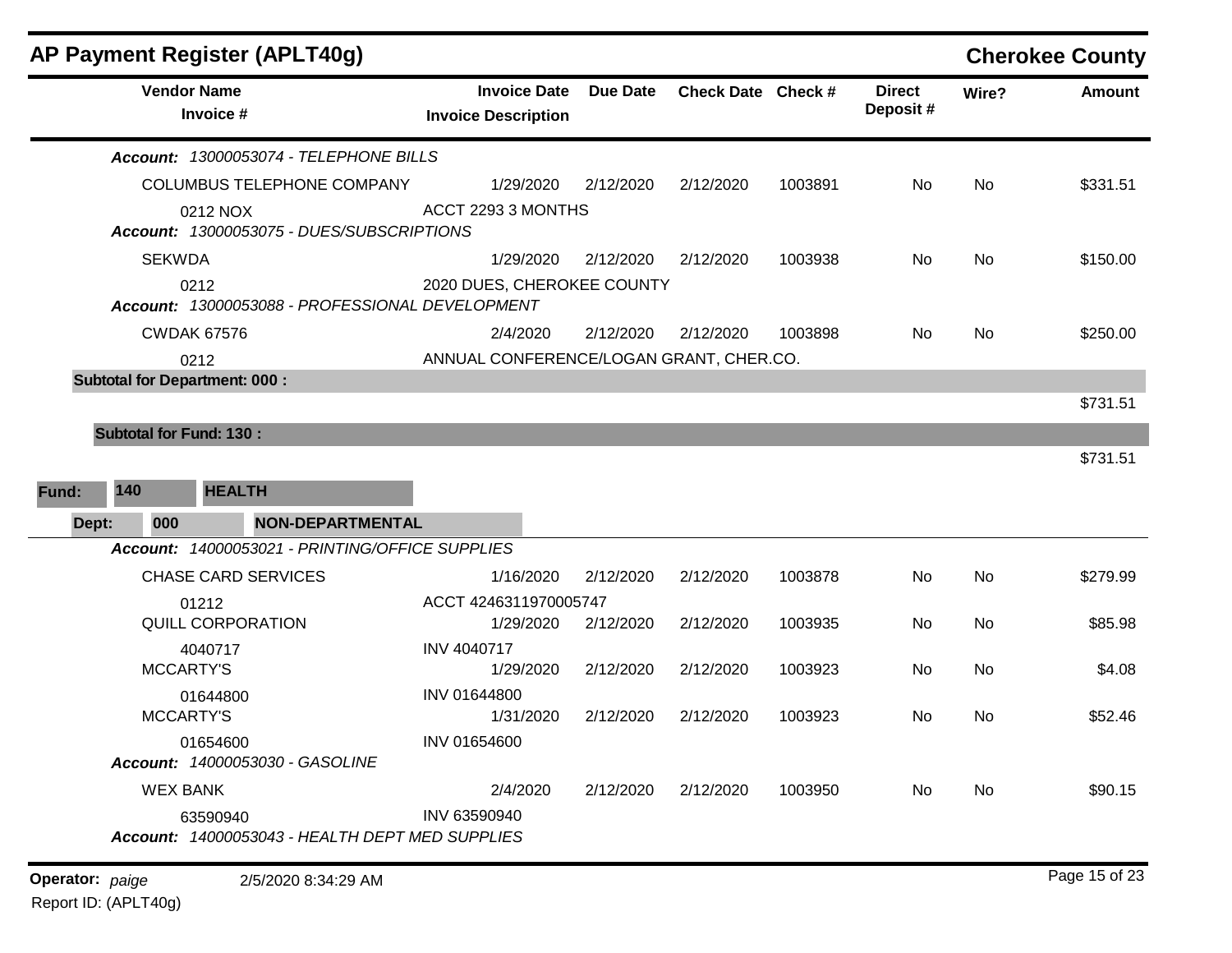| <b>Vendor Name</b>                                      | <b>Invoice Date</b>                     |                 |                    |         |                           |       |               |
|---------------------------------------------------------|-----------------------------------------|-----------------|--------------------|---------|---------------------------|-------|---------------|
| Invoice #                                               | <b>Invoice Description</b>              | <b>Due Date</b> | Check Date Check # |         | <b>Direct</b><br>Deposit# | Wire? | <b>Amount</b> |
| Account: 13000053074 - TELEPHONE BILLS                  |                                         |                 |                    |         |                           |       |               |
| COLUMBUS TELEPHONE COMPANY                              | 1/29/2020                               | 2/12/2020       | 2/12/2020          | 1003891 | No                        | No.   | \$331.51      |
| 0212 NOX<br>Account: 13000053075 - DUES/SUBSCRIPTIONS   | ACCT 2293 3 MONTHS                      |                 |                    |         |                           |       |               |
| <b>SEKWDA</b>                                           | 1/29/2020                               | 2/12/2020       | 2/12/2020          | 1003938 | No                        | No.   | \$150.00      |
| 0212<br>Account: 13000053088 - PROFESSIONAL DEVELOPMENT | 2020 DUES, CHEROKEE COUNTY              |                 |                    |         |                           |       |               |
| <b>CWDAK 67576</b>                                      | 2/4/2020                                | 2/12/2020       | 2/12/2020          | 1003898 | No                        | No.   | \$250.00      |
| 0212                                                    | ANNUAL CONFERENCE/LOGAN GRANT, CHER.CO. |                 |                    |         |                           |       |               |
| <b>Subtotal for Department: 000:</b>                    |                                         |                 |                    |         |                           |       |               |
|                                                         |                                         |                 |                    |         |                           |       | \$731.51      |
| <b>Subtotal for Fund: 130:</b>                          |                                         |                 |                    |         |                           |       |               |
| <b>HEALTH</b><br>140<br>Fund:                           |                                         |                 |                    |         |                           |       | \$731.51      |
| <b>NON-DEPARTMENTAL</b><br>Dept:<br>000                 |                                         |                 |                    |         |                           |       |               |
| Account: 14000053021 - PRINTING/OFFICE SUPPLIES         |                                         |                 |                    |         |                           |       |               |
| <b>CHASE CARD SERVICES</b>                              | 1/16/2020                               | 2/12/2020       | 2/12/2020          | 1003878 | No                        | No.   | \$279.99      |
| 01212                                                   | ACCT 4246311970005747                   |                 |                    |         |                           |       |               |
| QUILL CORPORATION                                       | 1/29/2020                               | 2/12/2020       | 2/12/2020          | 1003935 | No                        | No    | \$85.98       |
| 4040717<br><b>MCCARTY'S</b>                             | INV 4040717<br>1/29/2020                | 2/12/2020       | 2/12/2020          | 1003923 | No                        | No.   | \$4.08        |
| 01644800                                                | INV 01644800                            |                 |                    |         |                           |       |               |
| <b>MCCARTY'S</b>                                        | 1/31/2020                               | 2/12/2020       | 2/12/2020          | 1003923 | No                        | No    | \$52.46       |
| 01654600                                                | INV 01654600                            |                 |                    |         |                           |       |               |
| Account: 14000053030 - GASOLINE                         |                                         |                 |                    |         |                           |       |               |
| <b>WEX BANK</b>                                         | 2/4/2020                                | 2/12/2020       | 2/12/2020          | 1003950 | No                        | No    | \$90.15       |
| 63590940                                                | INV 63590940                            |                 |                    |         |                           |       |               |
| Account: 14000053043 - HEALTH DEPT MED SUPPLIES         |                                         |                 |                    |         |                           |       |               |
| Operator: paige<br>2/5/2020 8:34:29 AM                  |                                         |                 |                    |         |                           |       | Page 15 of 23 |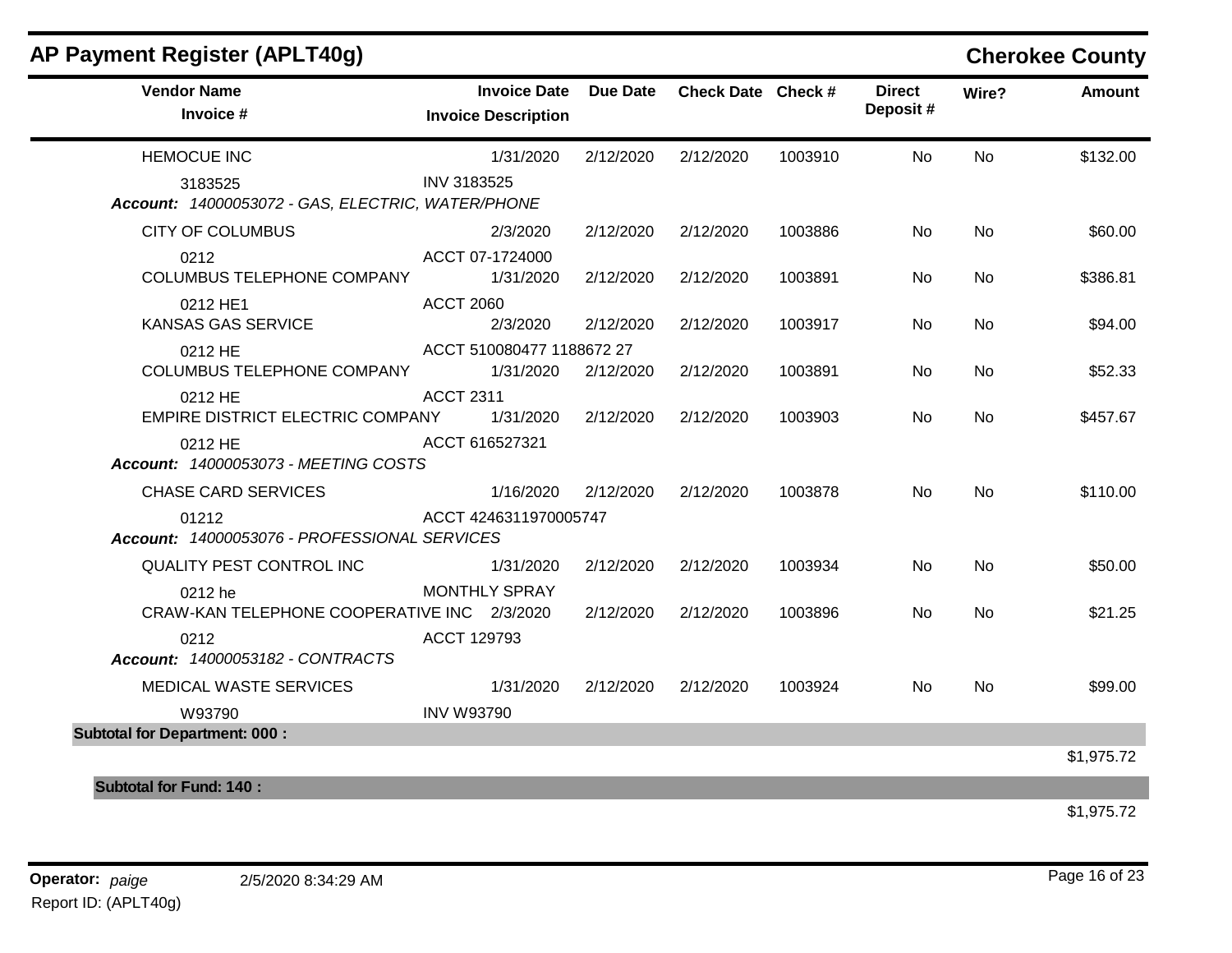| AP Payment Register (APLT40g)<br><b>Vendor Name</b>          |                      | <b>Invoice Date</b>                    | <b>Due Date</b> | Check Date Check # |         | <b>Direct</b> | Wire?     | <b>Cherokee County</b><br><b>Amount</b> |
|--------------------------------------------------------------|----------------------|----------------------------------------|-----------------|--------------------|---------|---------------|-----------|-----------------------------------------|
| Invoice #                                                    |                      | <b>Invoice Description</b>             |                 |                    |         | Deposit#      |           |                                         |
| <b>HEMOCUE INC</b>                                           |                      | 1/31/2020                              | 2/12/2020       | 2/12/2020          | 1003910 | No.           | No.       | \$132.00                                |
| 3183525<br>Account: 14000053072 - GAS, ELECTRIC, WATER/PHONE | INV 3183525          |                                        |                 |                    |         |               |           |                                         |
| <b>CITY OF COLUMBUS</b>                                      |                      | 2/3/2020                               | 2/12/2020       | 2/12/2020          | 1003886 | No            | <b>No</b> | \$60.00                                 |
| 0212<br>COLUMBUS TELEPHONE COMPANY                           | ACCT 07-1724000      | 1/31/2020                              | 2/12/2020       | 2/12/2020          | 1003891 | No.           | No.       | \$386.81                                |
| 0212 HE1<br><b>KANSAS GAS SERVICE</b>                        | <b>ACCT 2060</b>     | 2/3/2020                               | 2/12/2020       | 2/12/2020          | 1003917 | No            | No        | \$94.00                                 |
| 0212 HE<br>COLUMBUS TELEPHONE COMPANY                        |                      | ACCT 510080477 1188672 27<br>1/31/2020 | 2/12/2020       | 2/12/2020          | 1003891 | No.           | <b>No</b> | \$52.33                                 |
| 0212 HE<br>EMPIRE DISTRICT ELECTRIC COMPANY                  | <b>ACCT 2311</b>     | 1/31/2020                              | 2/12/2020       | 2/12/2020          | 1003903 | No.           | <b>No</b> | \$457.67                                |
| 0212 HE<br>Account: 14000053073 - MEETING COSTS              | ACCT 616527321       |                                        |                 |                    |         |               |           |                                         |
| <b>CHASE CARD SERVICES</b>                                   |                      | 1/16/2020                              | 2/12/2020       | 2/12/2020          | 1003878 | No.           | <b>No</b> | \$110.00                                |
| 01212<br>Account: 14000053076 - PROFESSIONAL SERVICES        |                      | ACCT 4246311970005747                  |                 |                    |         |               |           |                                         |
| QUALITY PEST CONTROL INC                                     |                      | 1/31/2020                              | 2/12/2020       | 2/12/2020          | 1003934 | No            | <b>No</b> | \$50.00                                 |
| 0212 he<br>CRAW-KAN TELEPHONE COOPERATIVE INC 2/3/2020       | <b>MONTHLY SPRAY</b> |                                        | 2/12/2020       | 2/12/2020          | 1003896 | No.           | No.       | \$21.25                                 |
| 0212<br>Account: 14000053182 - CONTRACTS                     | ACCT 129793          |                                        |                 |                    |         |               |           |                                         |
| MEDICAL WASTE SERVICES                                       |                      | 1/31/2020                              | 2/12/2020       | 2/12/2020          | 1003924 | No            | No.       | \$99.00                                 |
| W93790                                                       | <b>INV W93790</b>    |                                        |                 |                    |         |               |           |                                         |
| <b>Subtotal for Department: 000:</b>                         |                      |                                        |                 |                    |         |               |           |                                         |

\$1,975.72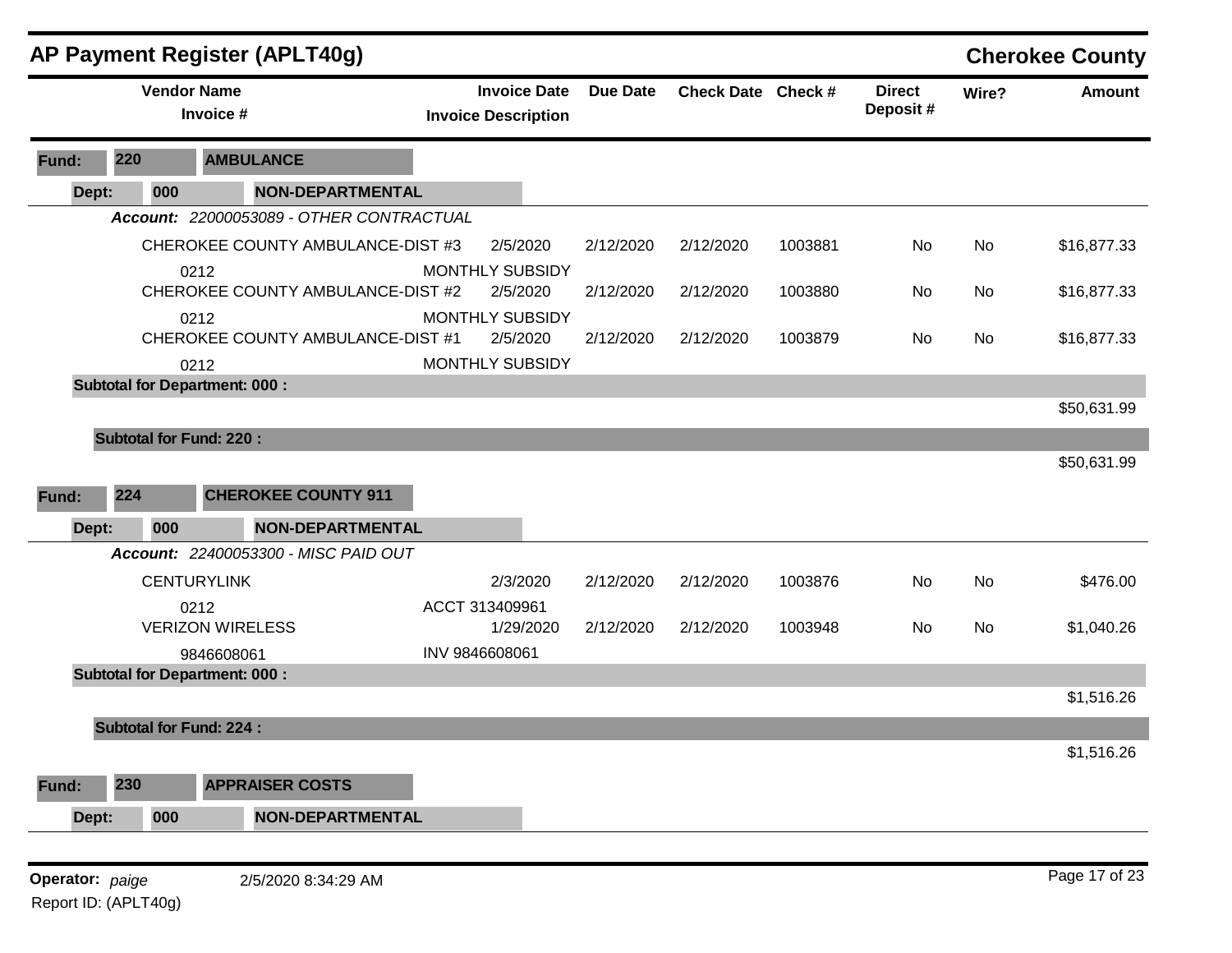|                 |                                | AP Payment Register (APLT40g)                |                                                   |                 |                    |         |                           |       | <b>Cherokee County</b> |
|-----------------|--------------------------------|----------------------------------------------|---------------------------------------------------|-----------------|--------------------|---------|---------------------------|-------|------------------------|
|                 | <b>Vendor Name</b>             | Invoice #                                    | <b>Invoice Date</b><br><b>Invoice Description</b> | <b>Due Date</b> | Check Date Check # |         | <b>Direct</b><br>Deposit# | Wire? | <b>Amount</b>          |
| Fund:           | 220                            | <b>AMBULANCE</b>                             |                                                   |                 |                    |         |                           |       |                        |
| Dept:           | 000                            | <b>NON-DEPARTMENTAL</b>                      |                                                   |                 |                    |         |                           |       |                        |
|                 |                                | Account: 22000053089 - OTHER CONTRACTUAL     |                                                   |                 |                    |         |                           |       |                        |
|                 |                                | CHEROKEE COUNTY AMBULANCE-DIST #3            | 2/5/2020                                          | 2/12/2020       | 2/12/2020          | 1003881 | No                        | No    | \$16,877.33            |
|                 |                                | 0212                                         | <b>MONTHLY SUBSIDY</b>                            |                 |                    |         |                           |       |                        |
|                 |                                | CHEROKEE COUNTY AMBULANCE-DIST #2            | 2/5/2020                                          | 2/12/2020       | 2/12/2020          | 1003880 | No                        | No    | \$16,877.33            |
|                 |                                | 0212                                         | MONTHLY SUBSIDY                                   |                 |                    |         |                           |       |                        |
|                 |                                | CHEROKEE COUNTY AMBULANCE-DIST #1            | 2/5/2020                                          | 2/12/2020       | 2/12/2020          | 1003879 | No                        | No    | \$16,877.33            |
|                 |                                | 0212<br><b>Subtotal for Department: 000:</b> | MONTHLY SUBSIDY                                   |                 |                    |         |                           |       |                        |
|                 |                                |                                              |                                                   |                 |                    |         |                           |       | \$50,631.99            |
|                 | <b>Subtotal for Fund: 220:</b> |                                              |                                                   |                 |                    |         |                           |       |                        |
|                 |                                |                                              |                                                   |                 |                    |         |                           |       | \$50,631.99            |
|                 |                                |                                              |                                                   |                 |                    |         |                           |       |                        |
| Fund:           | 224                            | <b>CHEROKEE COUNTY 911</b>                   |                                                   |                 |                    |         |                           |       |                        |
| Dept:           | 000                            | <b>NON-DEPARTMENTAL</b>                      |                                                   |                 |                    |         |                           |       |                        |
|                 |                                | Account: 22400053300 - MISC PAID OUT         |                                                   |                 |                    |         |                           |       |                        |
|                 |                                | <b>CENTURYLINK</b>                           | 2/3/2020                                          | 2/12/2020       | 2/12/2020          | 1003876 | No                        | No    | \$476.00               |
|                 |                                | 0212                                         | ACCT 313409961                                    |                 |                    |         |                           |       |                        |
|                 |                                | <b>VERIZON WIRELESS</b>                      | 1/29/2020                                         | 2/12/2020       | 2/12/2020          | 1003948 | No                        | No    | \$1,040.26             |
|                 |                                | 9846608061                                   | INV 9846608061                                    |                 |                    |         |                           |       |                        |
|                 |                                | <b>Subtotal for Department: 000:</b>         |                                                   |                 |                    |         |                           |       |                        |
|                 |                                |                                              |                                                   |                 |                    |         |                           |       | \$1,516.26             |
|                 | <b>Subtotal for Fund: 224:</b> |                                              |                                                   |                 |                    |         |                           |       |                        |
|                 |                                |                                              |                                                   |                 |                    |         |                           |       | \$1,516.26             |
| Fund:           | 230                            | <b>APPRAISER COSTS</b>                       |                                                   |                 |                    |         |                           |       |                        |
| Dept:           | 000                            | <b>NON-DEPARTMENTAL</b>                      |                                                   |                 |                    |         |                           |       |                        |
|                 |                                |                                              |                                                   |                 |                    |         |                           |       |                        |
| Operator: paige |                                | 2/5/2020 8:34:29 AM                          |                                                   |                 |                    |         |                           |       | Page 17 of 23          |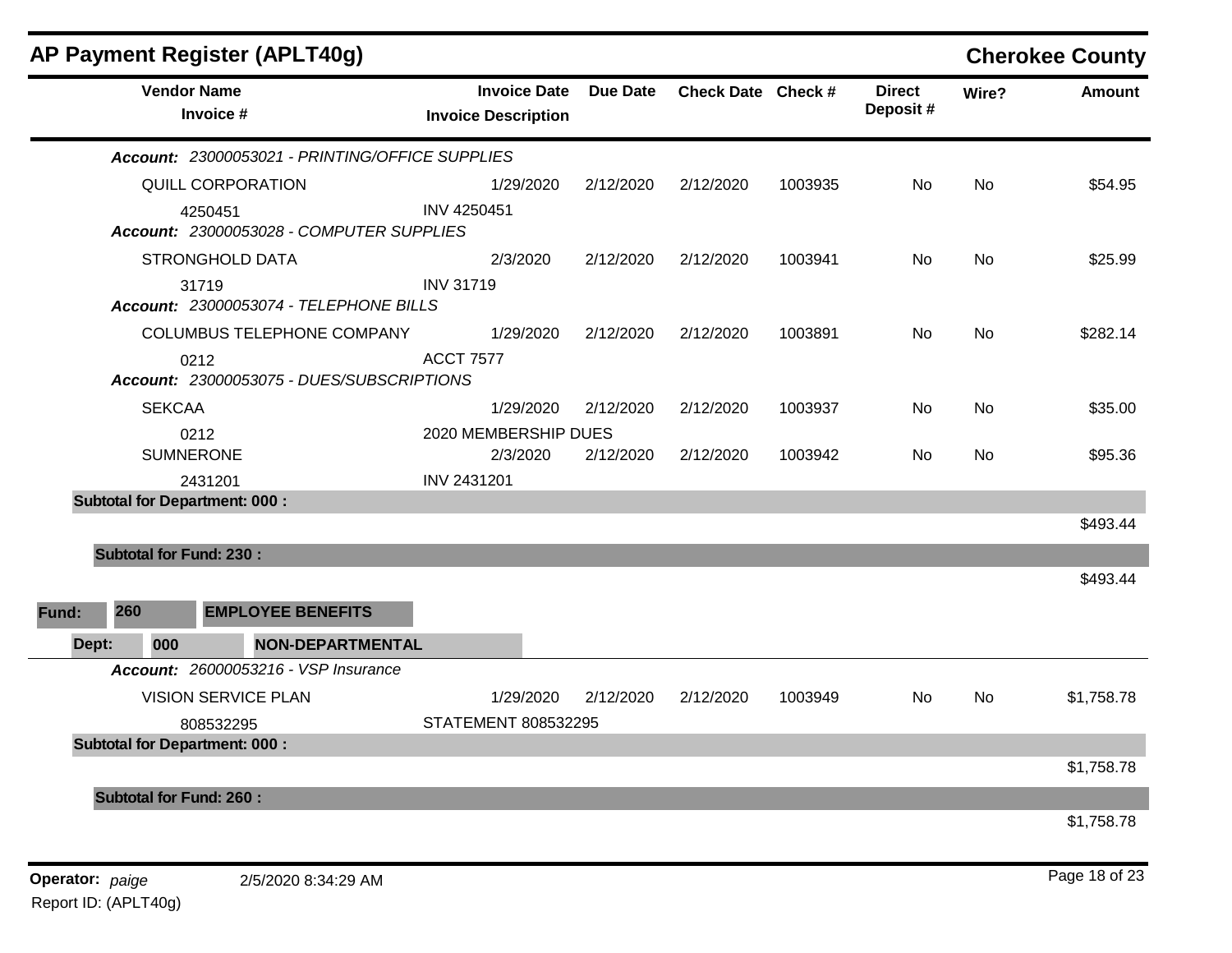|       |                                      | AP Payment Register (APLT40g)                   |                                                   |                 |                    |         |                           |           | <b>Cherokee County</b> |
|-------|--------------------------------------|-------------------------------------------------|---------------------------------------------------|-----------------|--------------------|---------|---------------------------|-----------|------------------------|
|       | <b>Vendor Name</b>                   | Invoice #                                       | <b>Invoice Date</b><br><b>Invoice Description</b> | <b>Due Date</b> | Check Date Check # |         | <b>Direct</b><br>Deposit# | Wire?     | <b>Amount</b>          |
|       |                                      | Account: 23000053021 - PRINTING/OFFICE SUPPLIES |                                                   |                 |                    |         |                           |           |                        |
|       |                                      | QUILL CORPORATION                               | 1/29/2020                                         | 2/12/2020       | 2/12/2020          | 1003935 | No                        | <b>No</b> | \$54.95                |
|       | 4250451                              | Account: 23000053028 - COMPUTER SUPPLIES        | <b>INV 4250451</b>                                |                 |                    |         |                           |           |                        |
|       |                                      | <b>STRONGHOLD DATA</b>                          | 2/3/2020                                          | 2/12/2020       | 2/12/2020          | 1003941 | No                        | <b>No</b> | \$25.99                |
|       | 31719                                | Account: 23000053074 - TELEPHONE BILLS          | <b>INV 31719</b>                                  |                 |                    |         |                           |           |                        |
|       |                                      | COLUMBUS TELEPHONE COMPANY                      | 1/29/2020                                         | 2/12/2020       | 2/12/2020          | 1003891 | No                        | No        | \$282.14               |
|       | 0212                                 | Account: 23000053075 - DUES/SUBSCRIPTIONS       | <b>ACCT 7577</b>                                  |                 |                    |         |                           |           |                        |
|       | <b>SEKCAA</b>                        |                                                 | 1/29/2020                                         | 2/12/2020       | 2/12/2020          | 1003937 | No                        | No        | \$35.00                |
|       | 0212<br><b>SUMNERONE</b>             |                                                 | 2020 MEMBERSHIP DUES<br>2/3/2020                  | 2/12/2020       | 2/12/2020          | 1003942 | No                        | No        | \$95.36                |
|       | 2431201                              |                                                 | INV 2431201                                       |                 |                    |         |                           |           |                        |
|       | <b>Subtotal for Department: 000:</b> |                                                 |                                                   |                 |                    |         |                           |           |                        |
|       |                                      |                                                 |                                                   |                 |                    |         |                           |           | \$493.44               |
|       | <b>Subtotal for Fund: 230:</b>       |                                                 |                                                   |                 |                    |         |                           |           |                        |
|       |                                      |                                                 |                                                   |                 |                    |         |                           |           | \$493.44               |
| Fund: | 260                                  | <b>EMPLOYEE BENEFITS</b>                        |                                                   |                 |                    |         |                           |           |                        |
| Dept: | 000                                  | <b>NON-DEPARTMENTAL</b>                         |                                                   |                 |                    |         |                           |           |                        |
|       |                                      | Account: 26000053216 - VSP Insurance            |                                                   |                 |                    |         |                           |           |                        |
|       |                                      | <b>VISION SERVICE PLAN</b>                      | 1/29/2020                                         | 2/12/2020       | 2/12/2020          | 1003949 | No                        | No        | \$1,758.78             |
|       |                                      | 808532295                                       | STATEMENT 808532295                               |                 |                    |         |                           |           |                        |
|       | <b>Subtotal for Department: 000:</b> |                                                 |                                                   |                 |                    |         |                           |           |                        |
|       |                                      |                                                 |                                                   |                 |                    |         |                           |           | \$1,758.78             |
|       | <b>Subtotal for Fund: 260:</b>       |                                                 |                                                   |                 |                    |         |                           |           |                        |
|       |                                      |                                                 |                                                   |                 |                    |         |                           |           | \$1,758.78             |
|       |                                      |                                                 |                                                   |                 |                    |         |                           |           |                        |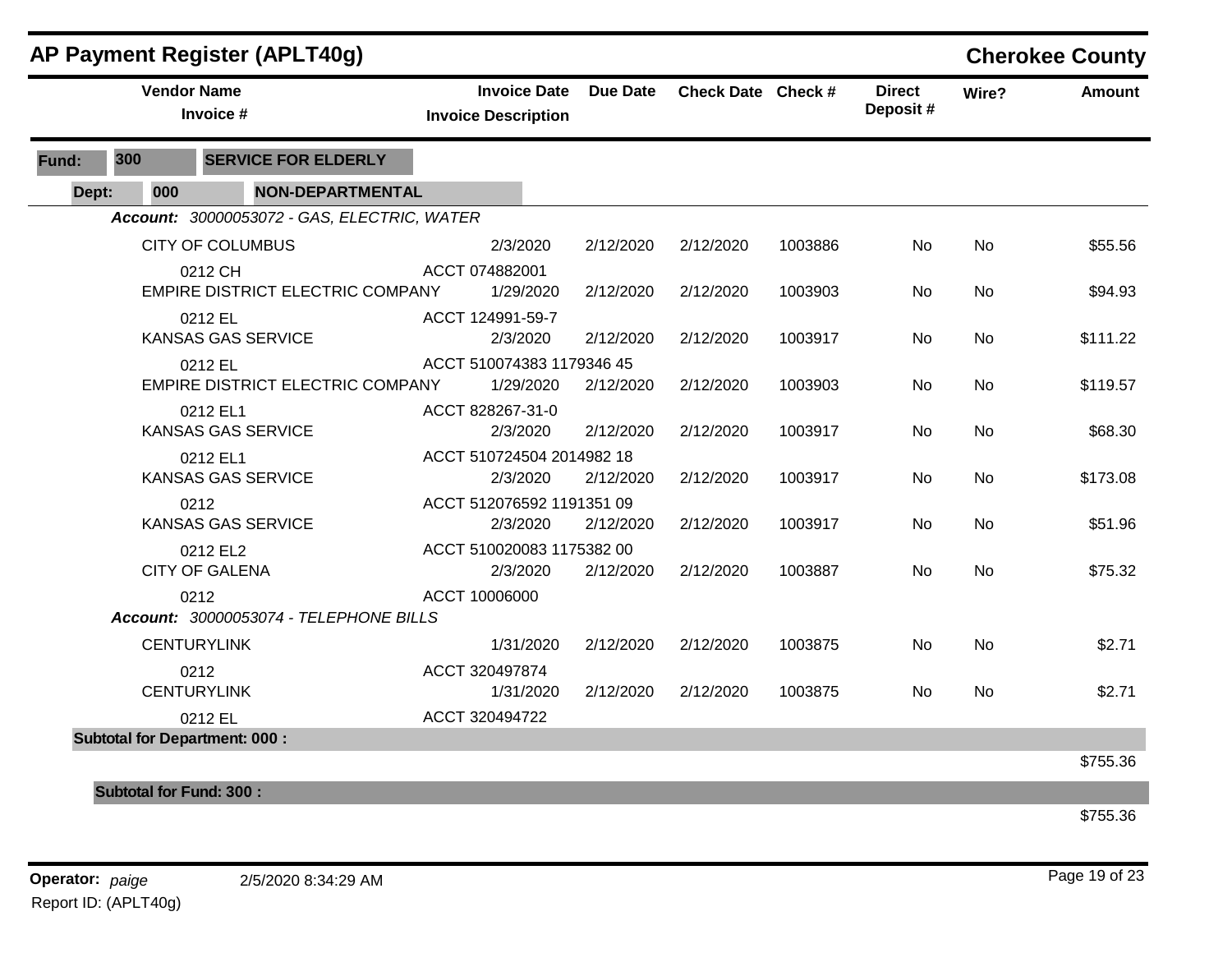|       |                                | <b>AP Payment Register (APLT40g)</b>               |                                                   |           |                    |         |                           |           | <b>Cherokee County</b> |
|-------|--------------------------------|----------------------------------------------------|---------------------------------------------------|-----------|--------------------|---------|---------------------------|-----------|------------------------|
|       | <b>Vendor Name</b>             | Invoice #                                          | <b>Invoice Date</b><br><b>Invoice Description</b> | Due Date  | Check Date Check # |         | <b>Direct</b><br>Deposit# | Wire?     | <b>Amount</b>          |
| Fund: | 300                            | <b>SERVICE FOR ELDERLY</b>                         |                                                   |           |                    |         |                           |           |                        |
| Dept: | 000                            | <b>NON-DEPARTMENTAL</b>                            |                                                   |           |                    |         |                           |           |                        |
|       |                                | Account: 30000053072 - GAS, ELECTRIC, WATER        |                                                   |           |                    |         |                           |           |                        |
|       |                                | <b>CITY OF COLUMBUS</b>                            | 2/3/2020                                          | 2/12/2020 | 2/12/2020          | 1003886 | No                        | No        | \$55.56                |
|       |                                | 0212 CH<br><b>EMPIRE DISTRICT ELECTRIC COMPANY</b> | ACCT 074882001<br>1/29/2020                       | 2/12/2020 | 2/12/2020          | 1003903 | No                        | No        | \$94.93                |
|       |                                | 0212 EL<br><b>KANSAS GAS SERVICE</b>               | ACCT 124991-59-7<br>2/3/2020                      | 2/12/2020 | 2/12/2020          | 1003917 | No                        | No        | \$111.22               |
|       |                                | 0212 EL<br><b>EMPIRE DISTRICT ELECTRIC COMPANY</b> | ACCT 510074383 1179346 45<br>1/29/2020            | 2/12/2020 | 2/12/2020          | 1003903 | No.                       | No        | \$119.57               |
|       |                                | 0212 EL1<br><b>KANSAS GAS SERVICE</b>              | ACCT 828267-31-0<br>2/3/2020                      | 2/12/2020 | 2/12/2020          | 1003917 | No                        | No        | \$68.30                |
|       |                                | 0212 EL1<br><b>KANSAS GAS SERVICE</b>              | ACCT 510724504 2014982 18<br>2/3/2020             | 2/12/2020 | 2/12/2020          | 1003917 | No                        | <b>No</b> | \$173.08               |
|       |                                | 0212<br><b>KANSAS GAS SERVICE</b>                  | ACCT 512076592 1191351 09<br>2/3/2020             | 2/12/2020 | 2/12/2020          | 1003917 | No                        | No        | \$51.96                |
|       |                                | 0212 EL2<br><b>CITY OF GALENA</b>                  | ACCT 510020083 1175382 00<br>2/3/2020             | 2/12/2020 | 2/12/2020          | 1003887 | No.                       | No        | \$75.32                |
|       |                                | 0212<br>Account: 30000053074 - TELEPHONE BILLS     | ACCT 10006000                                     |           |                    |         |                           |           |                        |
|       |                                | <b>CENTURYLINK</b>                                 | 1/31/2020                                         | 2/12/2020 | 2/12/2020          | 1003875 | <b>No</b>                 | No        | \$2.71                 |
|       |                                | 0212<br><b>CENTURYLINK</b>                         | ACCT 320497874<br>1/31/2020                       | 2/12/2020 | 2/12/2020          | 1003875 | No.                       | No        | \$2.71                 |
|       |                                | 0212 EL                                            | ACCT 320494722                                    |           |                    |         |                           |           |                        |
|       |                                | <b>Subtotal for Department: 000:</b>               |                                                   |           |                    |         |                           |           |                        |
|       |                                |                                                    |                                                   |           |                    |         |                           |           | \$755.36               |
|       | <b>Subtotal for Fund: 300:</b> |                                                    |                                                   |           |                    |         |                           |           |                        |

\$755.36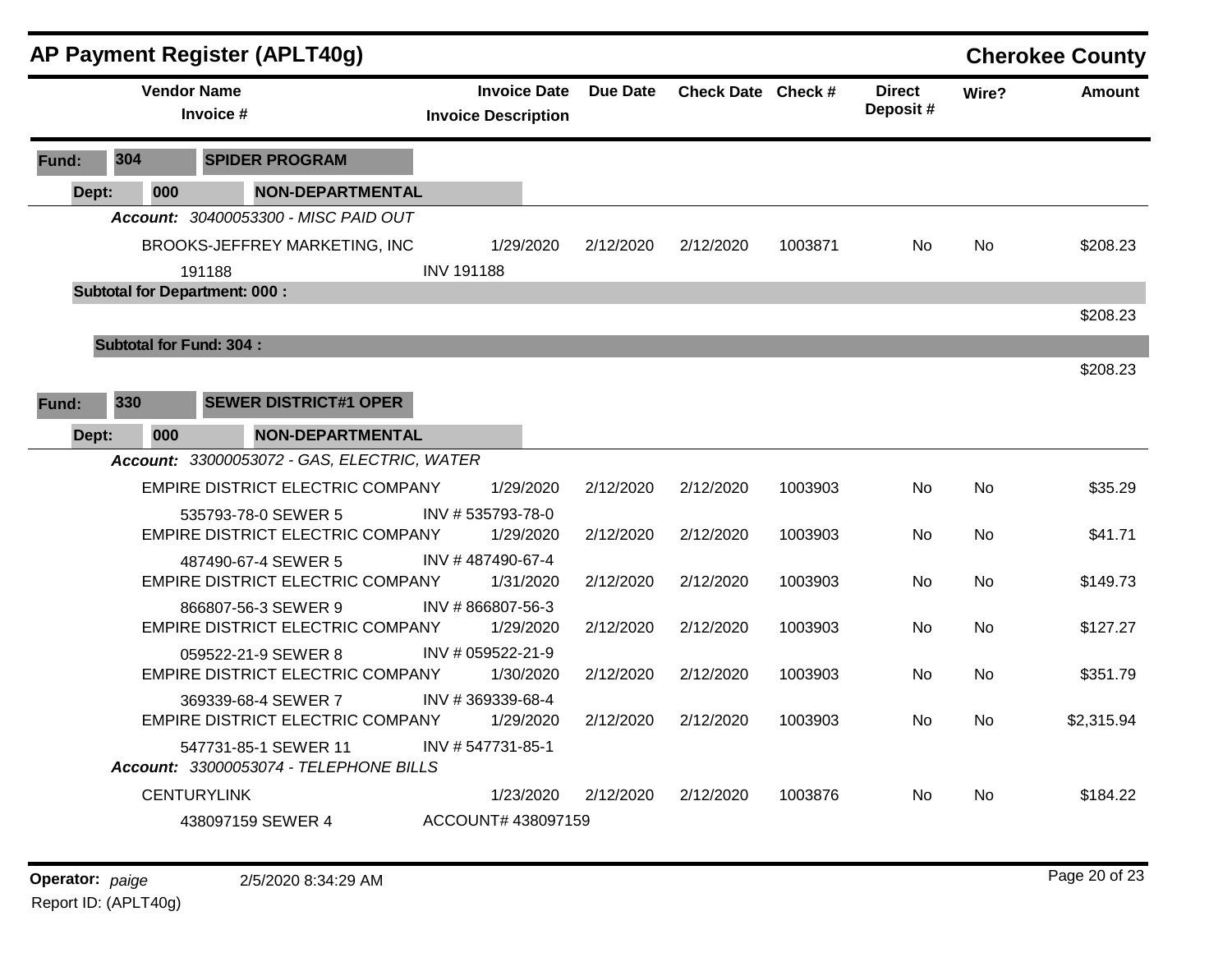|              |       |                                                                                                                                                                                                                                                                                                                                                                                                                                                                                                                                                                                                                                                                                                                                                                                                                                                                                                                                                                                                                                                                                                                                                                                                                                                                                                                                                                                                                                              | <b>AP Payment Register (APLT40g)</b> |                                                   |                 |           |         |                           |       | <b>Cherokee County</b> |
|--------------|-------|----------------------------------------------------------------------------------------------------------------------------------------------------------------------------------------------------------------------------------------------------------------------------------------------------------------------------------------------------------------------------------------------------------------------------------------------------------------------------------------------------------------------------------------------------------------------------------------------------------------------------------------------------------------------------------------------------------------------------------------------------------------------------------------------------------------------------------------------------------------------------------------------------------------------------------------------------------------------------------------------------------------------------------------------------------------------------------------------------------------------------------------------------------------------------------------------------------------------------------------------------------------------------------------------------------------------------------------------------------------------------------------------------------------------------------------------|--------------------------------------|---------------------------------------------------|-----------------|-----------|---------|---------------------------|-------|------------------------|
|              |       |                                                                                                                                                                                                                                                                                                                                                                                                                                                                                                                                                                                                                                                                                                                                                                                                                                                                                                                                                                                                                                                                                                                                                                                                                                                                                                                                                                                                                                              |                                      | <b>Invoice Date</b><br><b>Invoice Description</b> | <b>Due Date</b> |           |         | <b>Direct</b><br>Deposit# | Wire? | <b>Amount</b>          |
| Fund:        |       |                                                                                                                                                                                                                                                                                                                                                                                                                                                                                                                                                                                                                                                                                                                                                                                                                                                                                                                                                                                                                                                                                                                                                                                                                                                                                                                                                                                                                                              | <b>SPIDER PROGRAM</b>                |                                                   |                 |           |         |                           |       |                        |
|              | Dept: | 000                                                                                                                                                                                                                                                                                                                                                                                                                                                                                                                                                                                                                                                                                                                                                                                                                                                                                                                                                                                                                                                                                                                                                                                                                                                                                                                                                                                                                                          |                                      |                                                   |                 |           |         |                           |       |                        |
|              |       |                                                                                                                                                                                                                                                                                                                                                                                                                                                                                                                                                                                                                                                                                                                                                                                                                                                                                                                                                                                                                                                                                                                                                                                                                                                                                                                                                                                                                                              |                                      |                                                   |                 |           |         |                           |       |                        |
|              |       |                                                                                                                                                                                                                                                                                                                                                                                                                                                                                                                                                                                                                                                                                                                                                                                                                                                                                                                                                                                                                                                                                                                                                                                                                                                                                                                                                                                                                                              |                                      | 1/29/2020                                         | 2/12/2020       | 2/12/2020 | 1003871 | No                        | No    | \$208.23               |
|              |       |                                                                                                                                                                                                                                                                                                                                                                                                                                                                                                                                                                                                                                                                                                                                                                                                                                                                                                                                                                                                                                                                                                                                                                                                                                                                                                                                                                                                                                              |                                      | <b>INV 191188</b>                                 |                 |           |         |                           |       |                        |
|              |       |                                                                                                                                                                                                                                                                                                                                                                                                                                                                                                                                                                                                                                                                                                                                                                                                                                                                                                                                                                                                                                                                                                                                                                                                                                                                                                                                                                                                                                              |                                      |                                                   |                 |           |         |                           |       |                        |
|              |       |                                                                                                                                                                                                                                                                                                                                                                                                                                                                                                                                                                                                                                                                                                                                                                                                                                                                                                                                                                                                                                                                                                                                                                                                                                                                                                                                                                                                                                              |                                      |                                                   |                 |           |         |                           |       | \$208.23               |
|              |       |                                                                                                                                                                                                                                                                                                                                                                                                                                                                                                                                                                                                                                                                                                                                                                                                                                                                                                                                                                                                                                                                                                                                                                                                                                                                                                                                                                                                                                              |                                      |                                                   |                 |           |         |                           |       |                        |
|              |       |                                                                                                                                                                                                                                                                                                                                                                                                                                                                                                                                                                                                                                                                                                                                                                                                                                                                                                                                                                                                                                                                                                                                                                                                                                                                                                                                                                                                                                              |                                      |                                                   |                 |           |         |                           |       | \$208.23               |
| <b>Fund:</b> |       |                                                                                                                                                                                                                                                                                                                                                                                                                                                                                                                                                                                                                                                                                                                                                                                                                                                                                                                                                                                                                                                                                                                                                                                                                                                                                                                                                                                                                                              | <b>SEWER DISTRICT#1 OPER</b>         |                                                   |                 |           |         |                           |       |                        |
|              | Dept: | 000                                                                                                                                                                                                                                                                                                                                                                                                                                                                                                                                                                                                                                                                                                                                                                                                                                                                                                                                                                                                                                                                                                                                                                                                                                                                                                                                                                                                                                          |                                      |                                                   |                 |           |         |                           |       |                        |
|              |       |                                                                                                                                                                                                                                                                                                                                                                                                                                                                                                                                                                                                                                                                                                                                                                                                                                                                                                                                                                                                                                                                                                                                                                                                                                                                                                                                                                                                                                              |                                      |                                                   |                 |           |         |                           |       |                        |
|              |       | <b>Vendor Name</b><br>Check Date Check #<br>Invoice #<br>304<br><b>NON-DEPARTMENTAL</b><br>Account: 30400053300 - MISC PAID OUT<br>BROOKS-JEFFREY MARKETING, INC<br>191188<br><b>Subtotal for Department: 000:</b><br><b>Subtotal for Fund: 304:</b><br>330<br><b>NON-DEPARTMENTAL</b><br>Account: 33000053072 - GAS, ELECTRIC, WATER<br>EMPIRE DISTRICT ELECTRIC COMPANY<br><b>No</b><br>1/29/2020<br>2/12/2020<br>2/12/2020<br>1003903<br>No.<br>INV #535793-78-0<br>535793-78-0 SEWER 5<br><b>EMPIRE DISTRICT ELECTRIC COMPANY</b><br>2/12/2020<br>2/12/2020<br>1003903<br><b>No</b><br>1/29/2020<br>No.<br>INV #487490-67-4<br>487490-67-4 SEWER 5<br>EMPIRE DISTRICT ELECTRIC COMPANY<br>2/12/2020<br>2/12/2020<br>1003903<br><b>No</b><br><b>No</b><br>1/31/2020<br>INV #866807-56-3<br>866807-56-3 SEWER 9<br>EMPIRE DISTRICT ELECTRIC COMPANY<br>1/29/2020<br>No<br>2/12/2020<br>2/12/2020<br>1003903<br>No<br>INV # 059522-21-9<br>059522-21-9 SEWER 8<br>EMPIRE DISTRICT ELECTRIC COMPANY<br>1/30/2020<br>2/12/2020<br>1003903<br>2/12/2020<br>No.<br>No.<br>INV #369339-68-4<br>369339-68-4 SEWER 7<br><b>EMPIRE DISTRICT ELECTRIC COMPANY</b><br>1/29/2020<br>2/12/2020<br>2/12/2020<br>1003903<br>No<br>No<br>INV #547731-85-1<br>547731-85-1 SEWER 11<br>Account: 33000053074 - TELEPHONE BILLS<br><b>CENTURYLINK</b><br>1/23/2020<br>2/12/2020<br>2/12/2020<br>1003876<br>No<br>No<br>ACCOUNT# 438097159<br>438097159 SEWER 4 |                                      | \$35.29                                           |                 |           |         |                           |       |                        |
|              |       |                                                                                                                                                                                                                                                                                                                                                                                                                                                                                                                                                                                                                                                                                                                                                                                                                                                                                                                                                                                                                                                                                                                                                                                                                                                                                                                                                                                                                                              |                                      |                                                   |                 |           |         |                           |       |                        |
|              |       |                                                                                                                                                                                                                                                                                                                                                                                                                                                                                                                                                                                                                                                                                                                                                                                                                                                                                                                                                                                                                                                                                                                                                                                                                                                                                                                                                                                                                                              |                                      |                                                   |                 |           |         |                           |       | \$41.71                |
|              |       |                                                                                                                                                                                                                                                                                                                                                                                                                                                                                                                                                                                                                                                                                                                                                                                                                                                                                                                                                                                                                                                                                                                                                                                                                                                                                                                                                                                                                                              |                                      |                                                   |                 |           |         |                           |       |                        |
|              |       |                                                                                                                                                                                                                                                                                                                                                                                                                                                                                                                                                                                                                                                                                                                                                                                                                                                                                                                                                                                                                                                                                                                                                                                                                                                                                                                                                                                                                                              |                                      |                                                   |                 |           |         |                           |       | \$149.73               |
|              |       |                                                                                                                                                                                                                                                                                                                                                                                                                                                                                                                                                                                                                                                                                                                                                                                                                                                                                                                                                                                                                                                                                                                                                                                                                                                                                                                                                                                                                                              |                                      |                                                   |                 |           |         |                           |       |                        |
|              |       |                                                                                                                                                                                                                                                                                                                                                                                                                                                                                                                                                                                                                                                                                                                                                                                                                                                                                                                                                                                                                                                                                                                                                                                                                                                                                                                                                                                                                                              |                                      |                                                   |                 |           |         |                           |       | \$127.27               |
|              |       |                                                                                                                                                                                                                                                                                                                                                                                                                                                                                                                                                                                                                                                                                                                                                                                                                                                                                                                                                                                                                                                                                                                                                                                                                                                                                                                                                                                                                                              |                                      |                                                   |                 |           |         |                           |       | \$351.79               |
|              |       |                                                                                                                                                                                                                                                                                                                                                                                                                                                                                                                                                                                                                                                                                                                                                                                                                                                                                                                                                                                                                                                                                                                                                                                                                                                                                                                                                                                                                                              |                                      |                                                   |                 |           |         |                           |       |                        |
|              |       |                                                                                                                                                                                                                                                                                                                                                                                                                                                                                                                                                                                                                                                                                                                                                                                                                                                                                                                                                                                                                                                                                                                                                                                                                                                                                                                                                                                                                                              |                                      |                                                   |                 |           |         |                           |       | \$2,315.94             |
|              |       |                                                                                                                                                                                                                                                                                                                                                                                                                                                                                                                                                                                                                                                                                                                                                                                                                                                                                                                                                                                                                                                                                                                                                                                                                                                                                                                                                                                                                                              |                                      |                                                   |                 |           |         |                           |       |                        |
|              |       |                                                                                                                                                                                                                                                                                                                                                                                                                                                                                                                                                                                                                                                                                                                                                                                                                                                                                                                                                                                                                                                                                                                                                                                                                                                                                                                                                                                                                                              |                                      |                                                   |                 |           |         |                           |       |                        |
|              |       |                                                                                                                                                                                                                                                                                                                                                                                                                                                                                                                                                                                                                                                                                                                                                                                                                                                                                                                                                                                                                                                                                                                                                                                                                                                                                                                                                                                                                                              |                                      |                                                   |                 |           |         |                           |       | \$184.22               |
|              |       |                                                                                                                                                                                                                                                                                                                                                                                                                                                                                                                                                                                                                                                                                                                                                                                                                                                                                                                                                                                                                                                                                                                                                                                                                                                                                                                                                                                                                                              |                                      |                                                   |                 |           |         |                           |       |                        |
|              |       |                                                                                                                                                                                                                                                                                                                                                                                                                                                                                                                                                                                                                                                                                                                                                                                                                                                                                                                                                                                                                                                                                                                                                                                                                                                                                                                                                                                                                                              |                                      |                                                   |                 |           |         |                           |       |                        |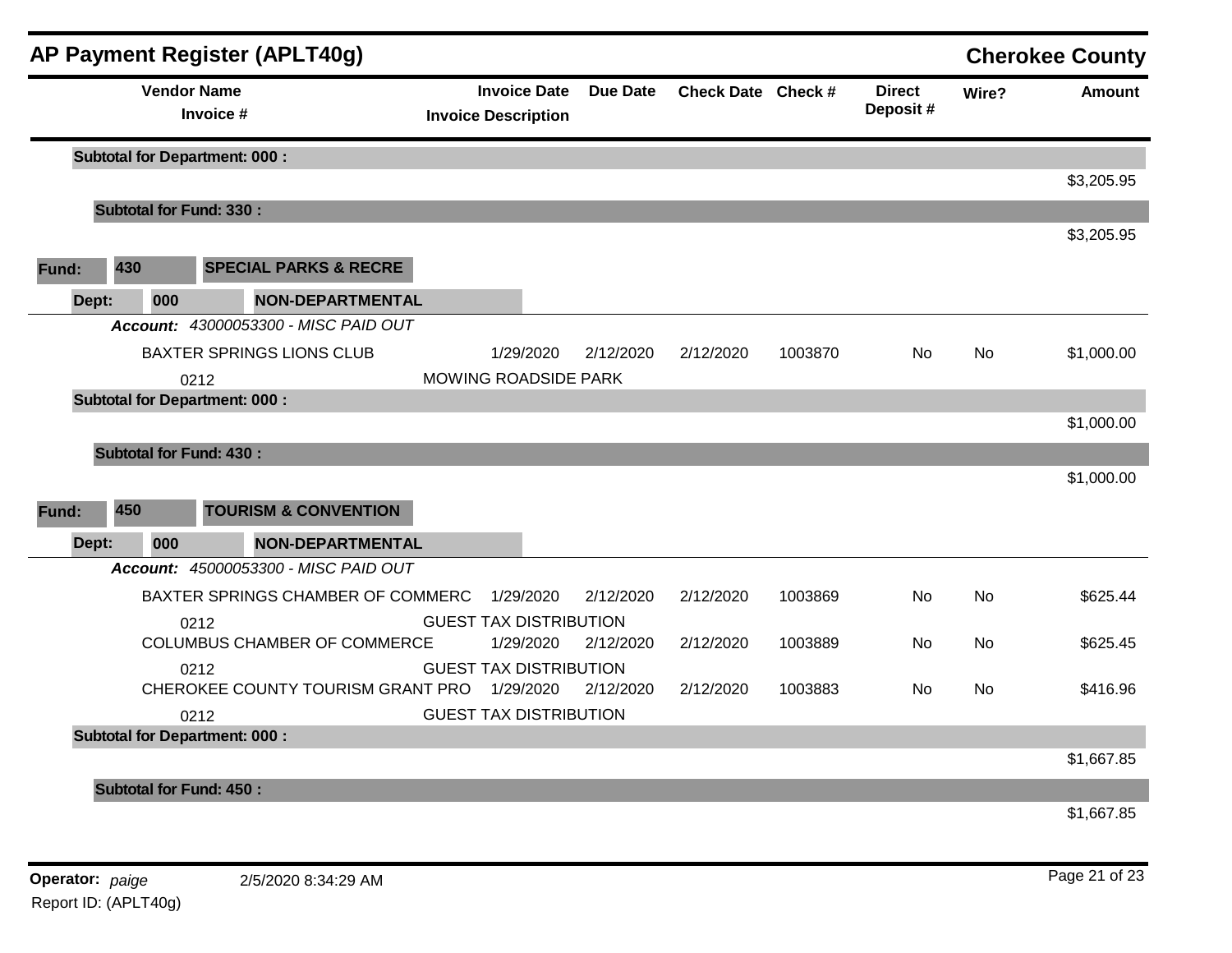|       |     |                    | AP Payment Register (APLT40g)                |                               |                     |                 |                    |         |                           |           | <b>Cherokee County</b> |
|-------|-----|--------------------|----------------------------------------------|-------------------------------|---------------------|-----------------|--------------------|---------|---------------------------|-----------|------------------------|
|       |     | <b>Vendor Name</b> | Invoice #                                    | <b>Invoice Description</b>    | <b>Invoice Date</b> | <b>Due Date</b> | Check Date Check # |         | <b>Direct</b><br>Deposit# | Wire?     | <b>Amount</b>          |
|       |     |                    | <b>Subtotal for Department: 000:</b>         |                               |                     |                 |                    |         |                           |           |                        |
|       |     |                    |                                              |                               |                     |                 |                    |         |                           |           | \$3,205.95             |
|       |     |                    | <b>Subtotal for Fund: 330:</b>               |                               |                     |                 |                    |         |                           |           |                        |
| Fund: | 430 |                    | <b>SPECIAL PARKS &amp; RECRE</b>             |                               |                     |                 |                    |         |                           |           | \$3,205.95             |
| Dept: |     | 000                | <b>NON-DEPARTMENTAL</b>                      |                               |                     |                 |                    |         |                           |           |                        |
|       |     |                    | Account: 43000053300 - MISC PAID OUT         |                               |                     |                 |                    |         |                           |           |                        |
|       |     |                    | <b>BAXTER SPRINGS LIONS CLUB</b>             |                               | 1/29/2020           | 2/12/2020       | 2/12/2020          | 1003870 | No                        | No        | \$1,000.00             |
|       |     |                    | 0212                                         | <b>MOWING ROADSIDE PARK</b>   |                     |                 |                    |         |                           |           |                        |
|       |     |                    | <b>Subtotal for Department: 000:</b>         |                               |                     |                 |                    |         |                           |           |                        |
|       |     |                    |                                              |                               |                     |                 |                    |         |                           |           | \$1,000.00             |
|       |     |                    | <b>Subtotal for Fund: 430:</b>               |                               |                     |                 |                    |         |                           |           |                        |
|       |     |                    |                                              |                               |                     |                 |                    |         |                           |           | \$1,000.00             |
| Fund: | 450 |                    | <b>TOURISM &amp; CONVENTION</b>              |                               |                     |                 |                    |         |                           |           |                        |
| Dept: |     | 000                | <b>NON-DEPARTMENTAL</b>                      |                               |                     |                 |                    |         |                           |           |                        |
|       |     |                    | Account: 45000053300 - MISC PAID OUT         |                               |                     |                 |                    |         |                           |           |                        |
|       |     |                    | BAXTER SPRINGS CHAMBER OF COMMERC            |                               | 1/29/2020           | 2/12/2020       | 2/12/2020          | 1003869 | <b>No</b>                 | <b>No</b> | \$625.44               |
|       |     |                    | 0212                                         | <b>GUEST TAX DISTRIBUTION</b> |                     |                 |                    |         |                           |           |                        |
|       |     |                    | COLUMBUS CHAMBER OF COMMERCE                 |                               | 1/29/2020           | 2/12/2020       | 2/12/2020          | 1003889 | No.                       | No.       | \$625.45               |
|       |     |                    | 0212                                         | <b>GUEST TAX DISTRIBUTION</b> |                     |                 |                    |         |                           |           |                        |
|       |     |                    | CHEROKEE COUNTY TOURISM GRANT PRO            |                               | 1/29/2020           | 2/12/2020       | 2/12/2020          | 1003883 | No.                       | No.       | \$416.96               |
|       |     |                    | 0212<br><b>Subtotal for Department: 000:</b> | <b>GUEST TAX DISTRIBUTION</b> |                     |                 |                    |         |                           |           |                        |
|       |     |                    |                                              |                               |                     |                 |                    |         |                           |           | \$1,667.85             |
|       |     |                    | <b>Subtotal for Fund: 450:</b>               |                               |                     |                 |                    |         |                           |           |                        |
|       |     |                    |                                              |                               |                     |                 |                    |         |                           |           | \$1,667.85             |
|       |     |                    |                                              |                               |                     |                 |                    |         |                           |           |                        |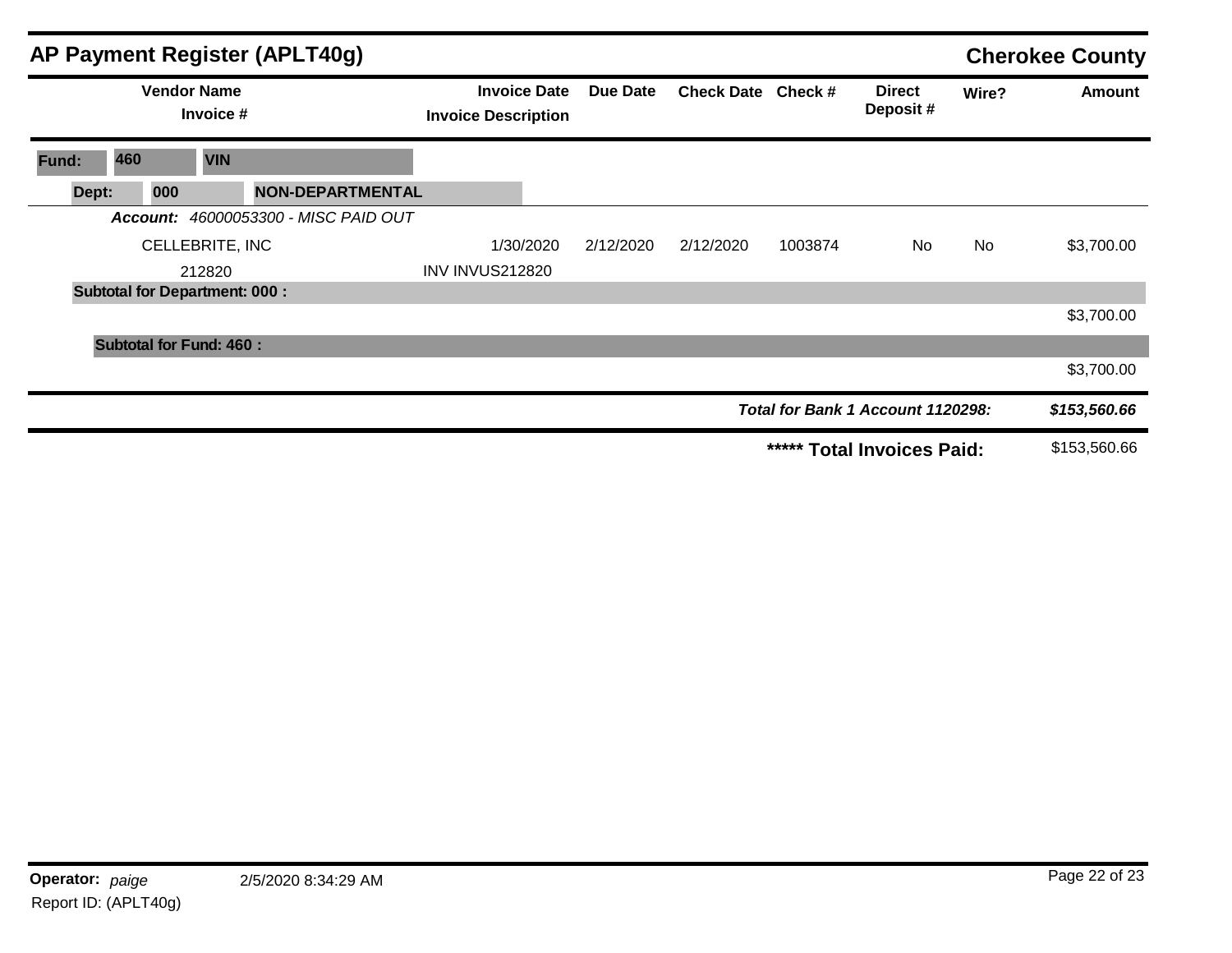|       |                                      |                                 | AP Payment Register (APLT40g)        |                                                   |           |           |                    |         |                                   |       | <b>Cherokee County</b> |
|-------|--------------------------------------|---------------------------------|--------------------------------------|---------------------------------------------------|-----------|-----------|--------------------|---------|-----------------------------------|-------|------------------------|
|       |                                      | <b>Vendor Name</b><br>Invoice # |                                      | <b>Invoice Date</b><br><b>Invoice Description</b> |           | Due Date  | Check Date Check # |         | <b>Direct</b><br>Deposit#         | Wire? | <b>Amount</b>          |
| Fund: | 460                                  | <b>VIN</b>                      |                                      |                                                   |           |           |                    |         |                                   |       |                        |
| Dept: | 000                                  |                                 | <b>NON-DEPARTMENTAL</b>              |                                                   |           |           |                    |         |                                   |       |                        |
|       |                                      |                                 | Account: 46000053300 - MISC PAID OUT |                                                   |           |           |                    |         |                                   |       |                        |
|       |                                      | CELLEBRITE, INC                 |                                      |                                                   | 1/30/2020 | 2/12/2020 | 2/12/2020          | 1003874 | No.                               | No.   | \$3,700.00             |
|       |                                      | 212820                          |                                      | <b>INV INVUS212820</b>                            |           |           |                    |         |                                   |       |                        |
|       | <b>Subtotal for Department: 000:</b> |                                 |                                      |                                                   |           |           |                    |         |                                   |       |                        |
|       |                                      |                                 |                                      |                                                   |           |           |                    |         |                                   |       | \$3,700.00             |
|       | <b>Subtotal for Fund: 460:</b>       |                                 |                                      |                                                   |           |           |                    |         |                                   |       |                        |
|       |                                      |                                 |                                      |                                                   |           |           |                    |         |                                   |       | \$3,700.00             |
|       |                                      |                                 |                                      |                                                   |           |           |                    |         | Total for Bank 1 Account 1120298: |       | \$153,560.66           |
|       |                                      |                                 |                                      |                                                   |           |           |                    |         | ***** Total Invoices Paid:        |       | \$153,560.66           |